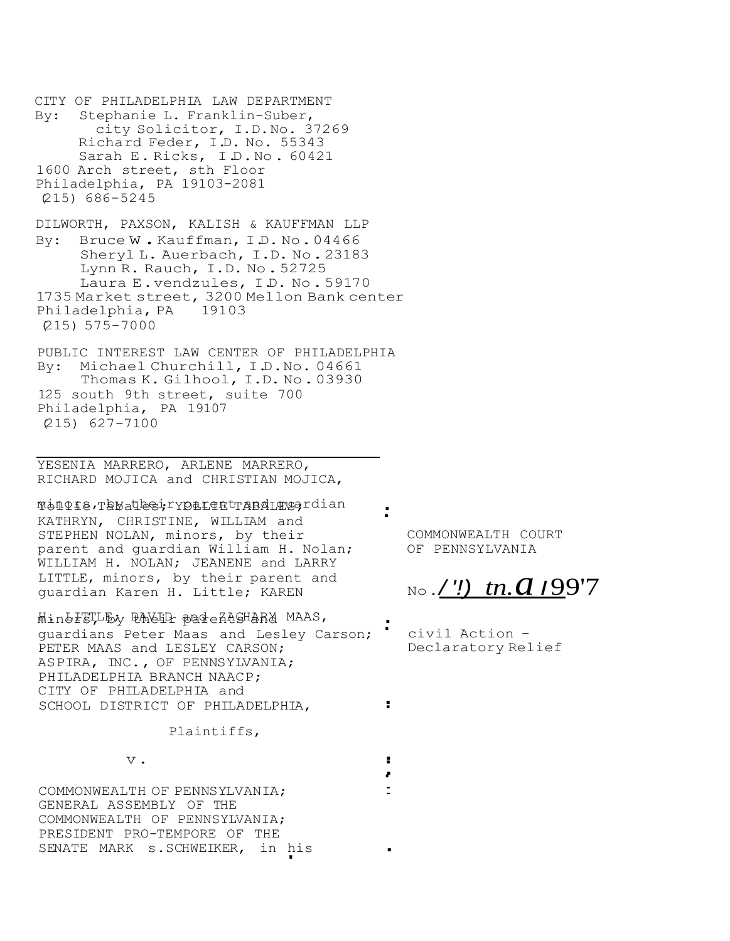CITY OF PHILADELPHIA LAW DEPARTMENT By: Stephanie L. Franklin-Suber, city Solicitor, I.D.No. 37269 Richard Feder, I.D. No. 55343 Sarah E. Ricks, I.D. No. 60421 1600 Arch street, sth Floor Philadelphia, PA 19103-2081 (215) 686-5245 DILWORTH, PAXSON, KALISH & KAUFFMAN LLP By: Bruce W.Kauffman, I.D. No. 04466 Sheryl L. Auerbach, I.D. No.23183 Lynn R. Rauch, I.D. No.52725 Laura E.vendzules, I.D. No.59170 1735 Market street, 3200 Mellon Bank center Philadelphia, PA 19103 (215) 575-7000 PUBLIC INTEREST LAW CENTER OF PHILADELPHIA

By: Michael Churchill, I.D.No. 04661 Thomas K. Gilhool, I.D. No.03930 125 south 9th street, suite 700 Philadelphia, PA 19107 (215) 627-7100

YESENIA MARRERO, ARLENE MARRERO, RICHARD MOJICA and CHRISTIAN MOJICA,

worlie Tabal<del>les</del>; Yorlert and Tabales; ... KATHRYN, CHRISTINE, WILLIAM and STEPHEN NOLAN, minors, by their parent and guardian William H. Nolan; WILLIAM H. NOLAN; JEANENE and LARRY LITTLE, minors, by their parent and guardian Karen H. Little; KAREN

-<br>Hind<del>I</del>STLE; <del>RACID</del> pareACGHARY MAAS, guardians Peter Maas and Lesley Carson; PETER MAAS and LESLEY CARSON; ASPIRA, INC., OF PENNSYLVANIA; PHILADELPHIA BRANCH NAACP; CITY OF PHILADELPHIA and SCHOOL DISTRICT OF PHILADELPHIA,

> Plaintiffs, v. ..

COMMONWEALTH OF PENNSYLVANIA; GENERAL ASSEMBLY OF THE COMMONWEALTH OF PENNSYLVANIA; PRESIDENT PRO-TEMPORE OF THE SENATE MARK s.SCHWEIKER, in his ۱

.

.

. .

•

.

.

COMMONWEALTH COURT OF PENNSYLVANIA

No.*/ '!) tn.a <sup>I</sup>*99'7

civil Action - Declaratory Relief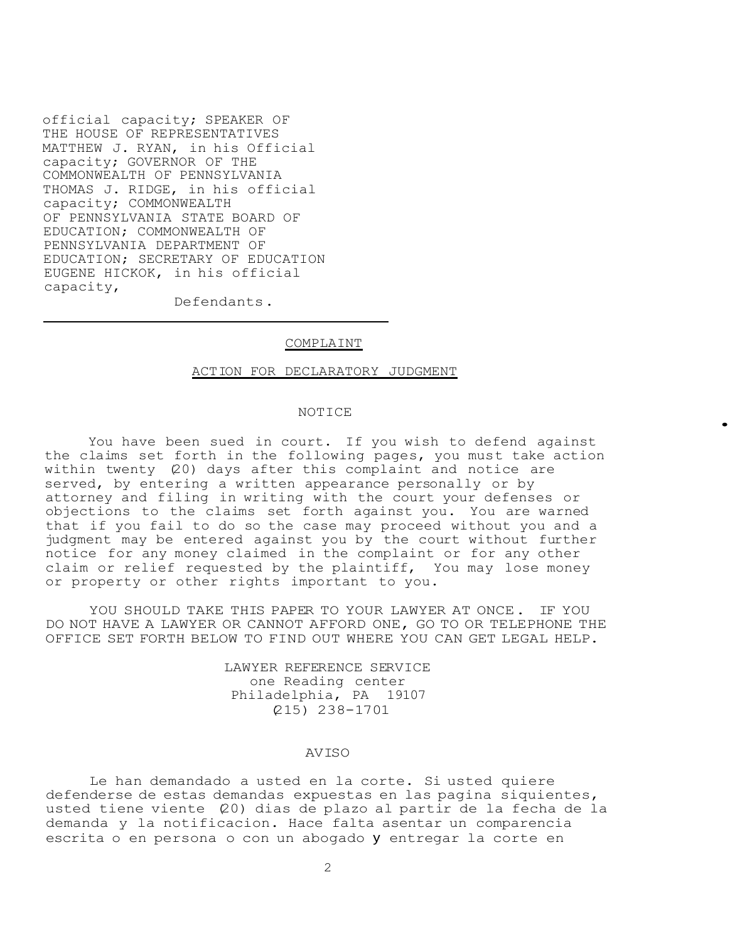official capacity; SPEAKER OF THE HOUSE OF REPRESENTATIVES MATTHEW J. RYAN, in his Official capacity; GOVERNOR OF THE COMMONWEALTH OF PENNSYLVANIA THOMAS J. RIDGE, in his official capacity; COMMONWEALTH OF PENNSYLVANIA STATE BOARD OF EDUCATION; COMMONWEALTH OF PENNSYLVANIA DEPARTMENT OF EDUCATION; SECRETARY OF EDUCATION EUGENE HICKOK, in his official capacity,

Defendants.

#### COMPLAINT

#### ACTION FOR DECLARATORY JUDGMENT

#### NOTICE

•

You have been sued in court. If you wish to defend against the claims set forth in the following pages, you must take action within twenty (20) days after this complaint and notice are served, by entering a written appearance personally or by attorney and filing in writing with the court your defenses or objections to the claims set forth against you. You are warned that if you fail to do so the case may proceed without you and a judgment may be entered against you by the court without further notice for any money claimed in the complaint or for any other claim or relief requested by the plaintiff, You may lose money or property or other rights important to you.

YOU SHOULD TAKE THIS PAPER TO YOUR LAWYER AT ONCE. IF YOU DO NOT HAVE A LAWYER OR CANNOT AFFORD ONE, GO TO OR TELEPHONE THE OFFICE SET FORTH BELOW TO FIND OUT WHERE YOU CAN GET LEGAL HELP.

> LAWYER REFERENCE SERVICE one Reading center Philadelphia, PA 19107 (215) 238-1701

### AVISO

Le han demandado a usted en la corte. Si usted quiere defenderse de estas demandas expuestas en las pagina siquientes, usted tiene viente (20) dias de plazo al partir de la fecha de la demanda y la notificacion. Hace falta asentar un comparencia escrita o en persona o con un abogado y entregar la corte en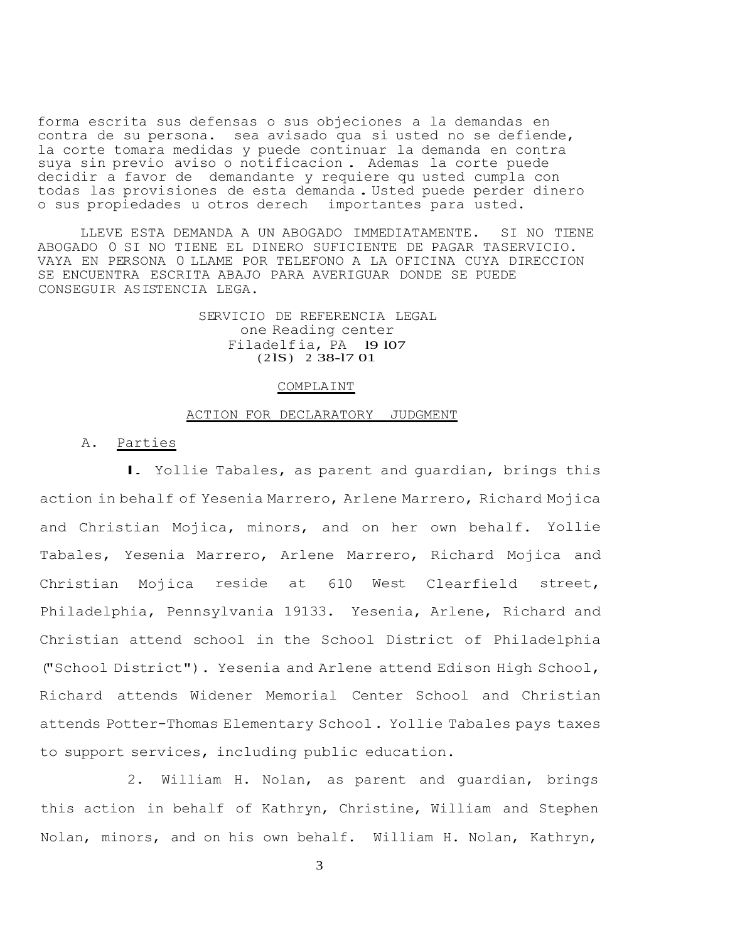forma escrita sus defensas o sus objeciones a la demandas en contra de su persona. sea avisado qua si usted no se defiende, la corte tomara medidas y puede continuar la demanda en contra suya sin previo aviso o notificacion . Ademas la corte puede decidir a favor de demandante y requiere qu usted cumpla con todas las provisiones de esta demanda. Usted puede perder dinero o sus propiedades u otros derech importantes para usted.

LLEVE ESTA DEMANDA A UN ABOGADO IMMEDIATAMENTE. SI NO TIENE ABOGADO 0 SI NO TIENE EL DINERO SUFICIENTE DE PAGAR TASERVICIO. VAYA EN PERSONA 0 LLAME POR TELEFONO A LA OFICINA CUYA DIRECCION SE ENCUENTRA ESCRITA ABAJO PARA AVERIGUAR DONDE SE PUEDE CONSEGUIR ASISTENCIA LEGA.

### SERVICIO DE REFERENCIA LEGAL one Reading center Filadelfia, PA l9 l07  $(21S)$  2 38-17 01

#### COMPLAINT

### ACTION FOR DECLARATORY JUDGMENT

### A. Parties

l. Yollie Tabales, as parent and guardian, brings this action in behalf of Yesenia Marrero, Arlene Marrero, Richard Mojica and Christian Mojica, minors, and on her own behalf. Yollie Tabales, Yesenia Marrero, Arlene Marrero, Richard Mojica and Christian Mojica reside at 610 West Clearfield street, Philadelphia, Pennsylvania 19133. Yesenia, Arlene, Richard and Christian attend school in the School District of Philadelphia ("School District"). Yesenia and Arlene attend Edison High School, Richard attends Widener Memorial Center School and Christian attends Potter-Thomas Elementary School. Yollie Tabales pays taxes to support services, including public education.

2. William H. Nolan, as parent and guardian, brings this action in behalf of Kathryn, Christine, William and Stephen Nolan, minors, and on his own behalf. William H. Nolan, Kathryn,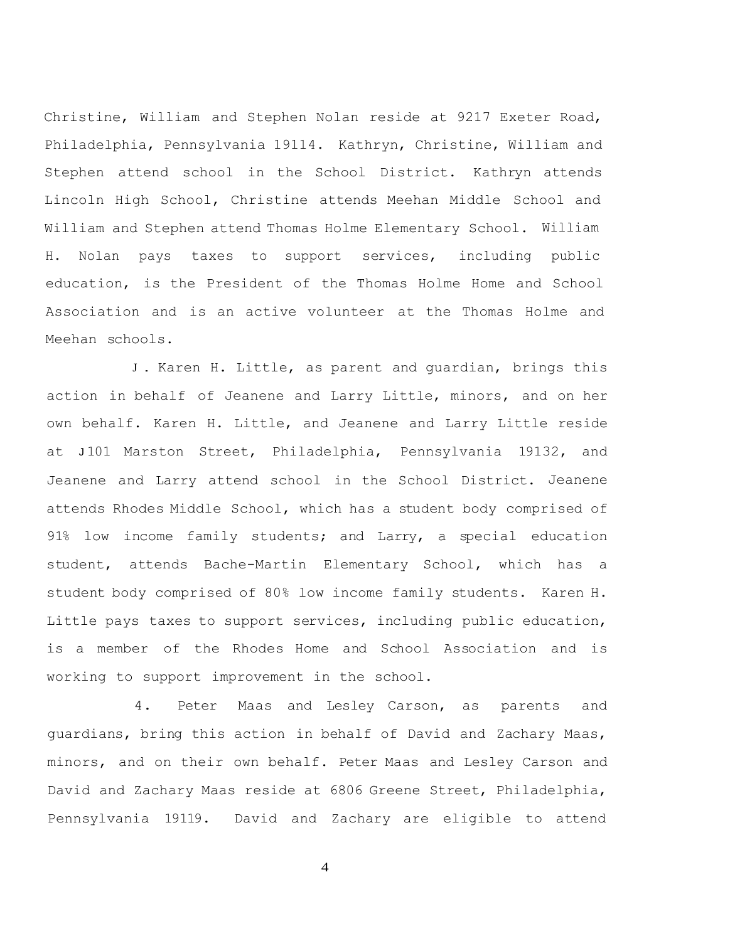Christine, William and Stephen Nolan reside at 9217 Exeter Road, Philadelphia, Pennsylvania 19114. Kathryn, Christine, William and Stephen attend school in the School District. Kathryn attends Lincoln High School, Christine attends Meehan Middle School and William and Stephen attend Thomas Holme Elementary School. William H. Nolan pays taxes to support services, including public education, is the President of the Thomas Holme Home and School Association and is an active volunteer at the Thomas Holme and Meehan schools.

<sup>J</sup> . Karen H. Little, as parent and guardian, brings this action in behalf of Jeanene and Larry Little, minors, and on her own behalf. Karen H. Little, and Jeanene and Larry Little reside at J 101 Marston Street, Philadelphia, Pennsylvania 19132, and Jeanene and Larry attend school in the School District. Jeanene attends Rhodes Middle School, which has a student body comprised of 91% low income family students; and Larry, a special education student, attends Bache-Martin Elementary School, which has a student body comprised of 80% low income family students. Karen H. Little pays taxes to support services, including public education, is a member of the Rhodes Home and School Association and is working to support improvement in the school.

4. Peter Maas and Lesley Carson, as parents and guardians, bring this action in behalf of David and Zachary Maas, minors, and on their own behalf. Peter Maas and Lesley Carson and David and Zachary Maas reside at 6806 Greene Street, Philadelphia, Pennsylvania 19119. David and Zachary are eligible to attend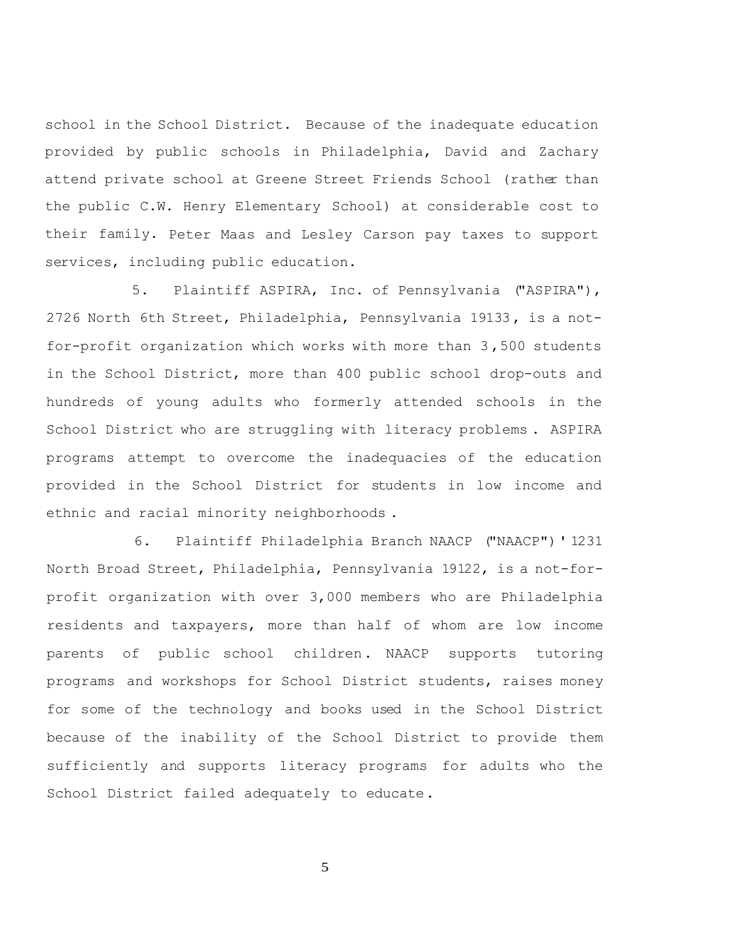school in the School District. Because of the inadequate education provided by public schools in Philadelphia, David and Zachary attend private school at Greene Street Friends School (rather than the public C.W. Henry Elementary School) at considerable cost to their family. Peter Maas and Lesley Carson pay taxes to support services, including public education.

5. Plaintiff ASPIRA, Inc. of Pennsylvania ("ASPIRA"), 2726 North 6th Street, Philadelphia, Pennsylvania 19133, is a notfor-profit organization which works with more than 3 ,500 students in the School District, more than 400 public school drop-outs and hundreds of young adults who formerly attended schools in the School District who are struggling with literacy problems . ASPIRA programs attempt to overcome the inadequacies of the education provided in the School District for students in low income and ethnic and racial minority neighborhoods .

6. Plaintiff Philadelphia Branch NAACP ("NAACP")' 1231 North Broad Street, Philadelphia, Pennsylvania 19122, is a not-forprofit organization with over 3,000 members who are Philadelphia residents and taxpayers, more than half of whom are low income parents of public school children. NAACP supports tutoring programs and workshops for School District students, raises money for some of the technology and books used in the School District because of the inability of the School District to provide them sufficiently and supports literacy programs for adults who the School District failed adequately to educate.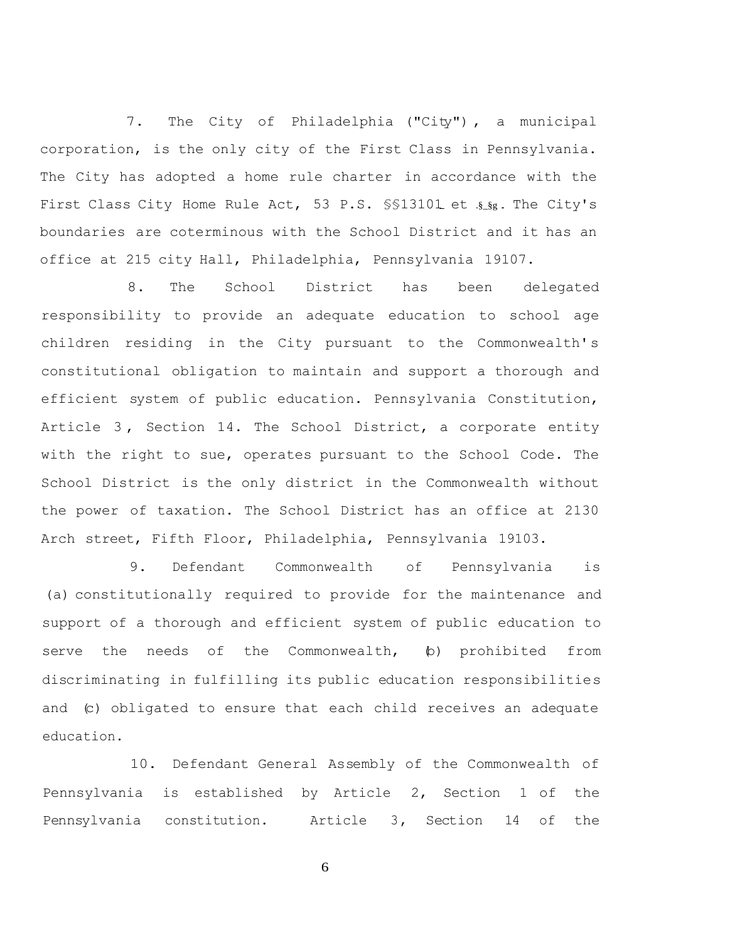7. The City of Philadelphia ("City") , a municipal corporation, is the only city of the First Class in Pennsylvania. The City has adopted a home rule charter in accordance with the First Class City Home Rule Act, 53 P.S. \$\$13101 et .\$\_\$g. The City's boundaries are coterminous with the School District and it has an office at 215 city Hall, Philadelphia, Pennsylvania 19107.

8. The School District has been delegated responsibility to provide an adequate education to school age children residing in the City pursuant to the Commonwealth's constitutional obligation to maintain and support a thorough and efficient system of public education. Pennsylvania Constitution, Article 3 , Section 14. The School District, a corporate entity with the right to sue, operates pursuant to the School Code. The School District is the only district in the Commonwealth without the power of taxation. The School District has an office at 2130 Arch street, Fifth Floor, Philadelphia, Pennsylvania 19103.

9. Defendant Commonwealth of Pennsylvania is (a) constitutionally required to provide for the maintenance and support of a thorough and efficient system of public education to serve the needs of the Commonwealth, (b) prohibited from discriminating in fulfilling its public education responsibilities and (c) obligated to ensure that each child receives an adequate education.

10. Defendant General Assembly of the Commonwealth of Pennsylvania is established by Article 2, Section 1 of the Pennsylvania constitution. Article 3, Section 14 of the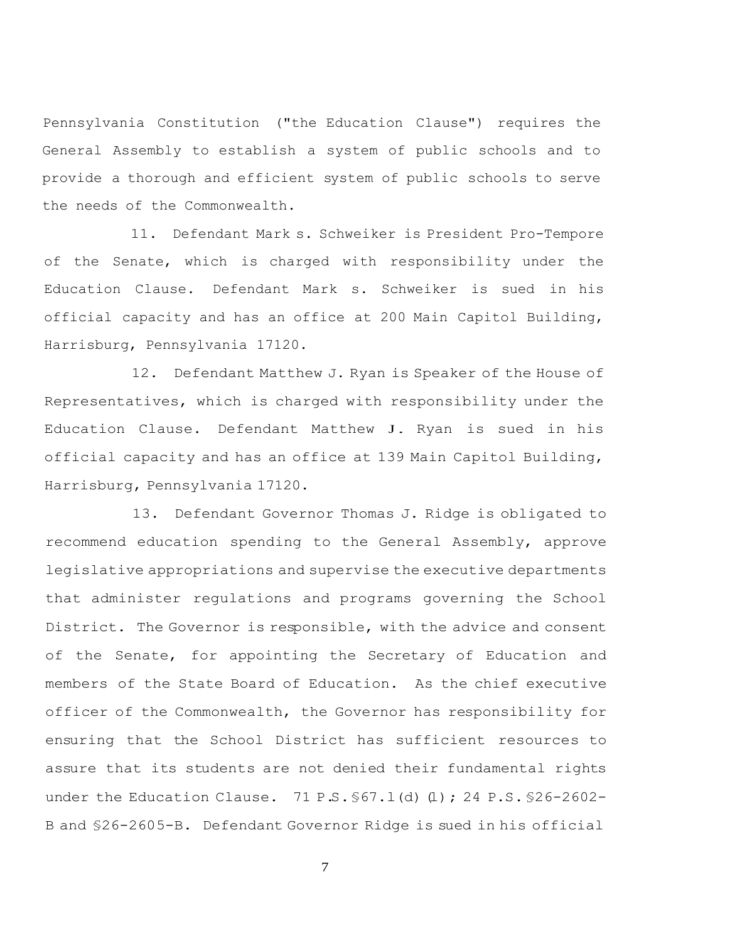Pennsylvania Constitution ("the Education Clause") requires the General Assembly to establish a system of public schools and to provide a thorough and efficient system of public schools to serve the needs of the Commonwealth.

11. Defendant Mark s. Schweiker is President Pro-Tempore of the Senate, which is charged with responsibility under the Education Clause. Defendant Mark s. Schweiker is sued in his official capacity and has an office at 200 Main Capitol Building, Harrisburg, Pennsylvania 17120.

12. Defendant Matthew J. Ryan is Speaker of the House of Representatives, which is charged with responsibility under the Education Clause. Defendant Matthew J. Ryan is sued in his official capacity and has an office at 139 Main Capitol Building, Harrisburg, Pennsylvania 17120.

13. Defendant Governor Thomas J. Ridge is obligated to recommend education spending to the General Assembly, approve legislative appropriations and supervise the executive departments that administer regulations and programs governing the School District. The Governor is responsible, with the advice and consent of the Senate, for appointing the Secretary of Education and members of the State Board of Education. As the chief executive officer of the Commonwealth, the Governor has responsibility for ensuring that the School District has sufficient resources to assure that its students are not denied their fundamental rights under the Education Clause. 71 P.S. §67.1(d) (1); 24 P.S. §26-2602-B and §26-2605-B. Defendant Governor Ridge is sued in his official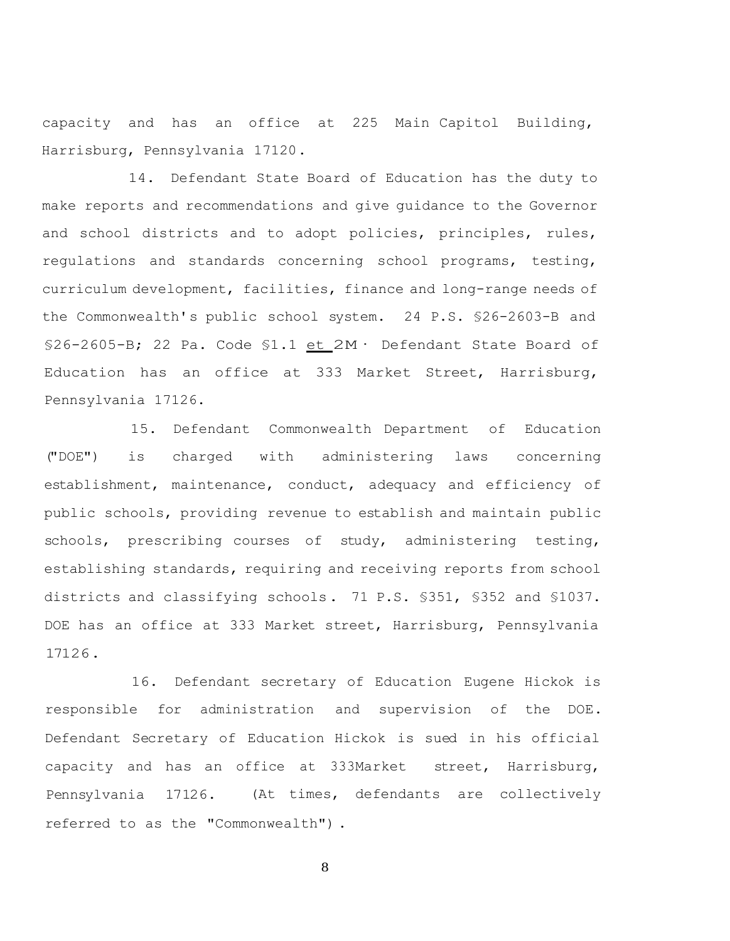capacity and has an office at 225 Main Capitol Building, Harrisburg, Pennsylvania 17120.

14. Defendant State Board of Education has the duty to make reports and recommendations and give guidance to the Governor and school districts and to adopt policies, principles, rules, regulations and standards concerning school programs, testing, curriculum development, facilities, finance and long-range needs of the Commonwealth's public school system. 24 P.S. §26-2603-B and §26-2605-B; 22 Pa. Code §1.1  $et 2M·$  Defendant State Board of</u> Education has an office at 333 Market Street, Harrisburg, Pennsylvania 17126.

15. Defendant Commonwealth Department of Education ("DOE") is charged with administering laws concerning establishment, maintenance, conduct, adequacy and efficiency of public schools, providing revenue to establish and maintain public schools, prescribing courses of study, administering testing, establishing standards, requiring and receiving reports from school districts and classifying schools. 71 P.S. §351, §352 and §1037. DOE has an office at 333 Market street, Harrisburg, Pennsylvania 17126.

16. Defendant secretary of Education Eugene Hickok is responsible for administration and supervision of the DOE. Defendant Secretary of Education Hickok is sued in his official capacity and has an office at 333Market street, Harrisburg, Pennsylvania 17126. (At times, defendants are collectively referred to as the "Commonwealth") .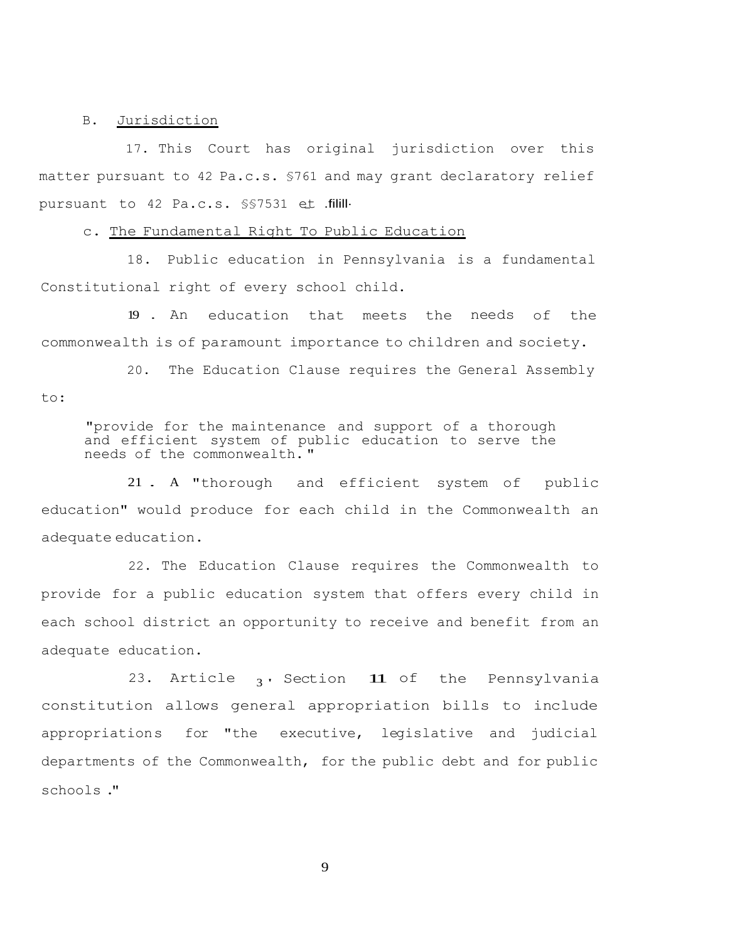### B. Jurisdiction

17. This Court has original jurisdiction over this matter pursuant to 42 Pa.c.s. §761 and may grant declaratory relief pursuant to 42 Pa.c.s. §§7531 et .filill·

c. The Fundamental Right To Public Education

18. Public education in Pennsylvania is a fundamental Constitutional right of every school child.

19 . An education that meets the needs of the commonwealth is of paramount importance to children and society.

20. The Education Clause requires the General Assembly to:

"provide for the maintenance and support of a thorough and efficient system of public education to serve the needs of the commonwealth. "

<sup>21</sup> . <sup>A</sup> "thorough and efficient system of public education" would produce for each child in the Commonwealth an adequate education.

22. The Education Clause requires the Commonwealth to provide for a public education system that offers every child in each school district an opportunity to receive and benefit from an adequate education.

23. Article <sub>3</sub>, Section 11 of the Pennsylvania constitution allows general appropriation bills to include appropriations for "the executive, legislative and judicial departments of the Commonwealth, for the public debt and for public schools ."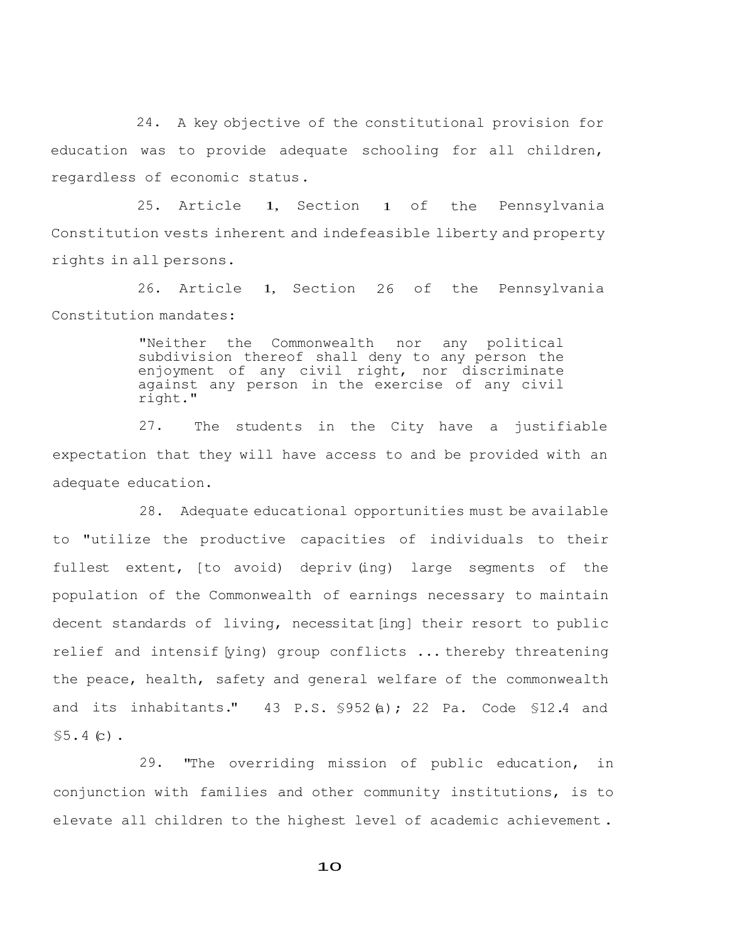24. A key objective of the constitutional provision for education was to provide adequate schooling for all children, regardless of economic status.

25. Article 1, Section 1 of the Pennsylvania Constitution vests inherent and indefeasible liberty and property rights in all persons.

26. Article 1, Section 26 of the Pennsylvania Constitution mandates:

> "Neither the Commonwealth nor any political subdivision thereof shall deny to any person the enjoyment of any civil right, nor discriminate against any person in the exercise of any civil right."

27. The students in the City have a justifiable expectation that they will have access to and be provided with an adequate education.

28. Adequate educational opportunities must be available to "utilize the productive capacities of individuals to their fullest extent, [to avoid) depriv (ing) large segments of the population of the Commonwealth of earnings necessary to maintain decent standards of living, necessitat [ing] their resort to public relief and intensif [ying] group conflicts ... thereby threatening the peace, health, safety and general welfare of the commonwealth and its inhabitants."  $43$  P.S.  $$952(a)$ ; 22 Pa. Code  $$12.4$  and  $$5.4(c)$ .

29. "The overriding mission of public education, in conjunction with families and other community institutions, is to elevate all children to the highest level of academic achievement .

 $1<sub>O</sub>$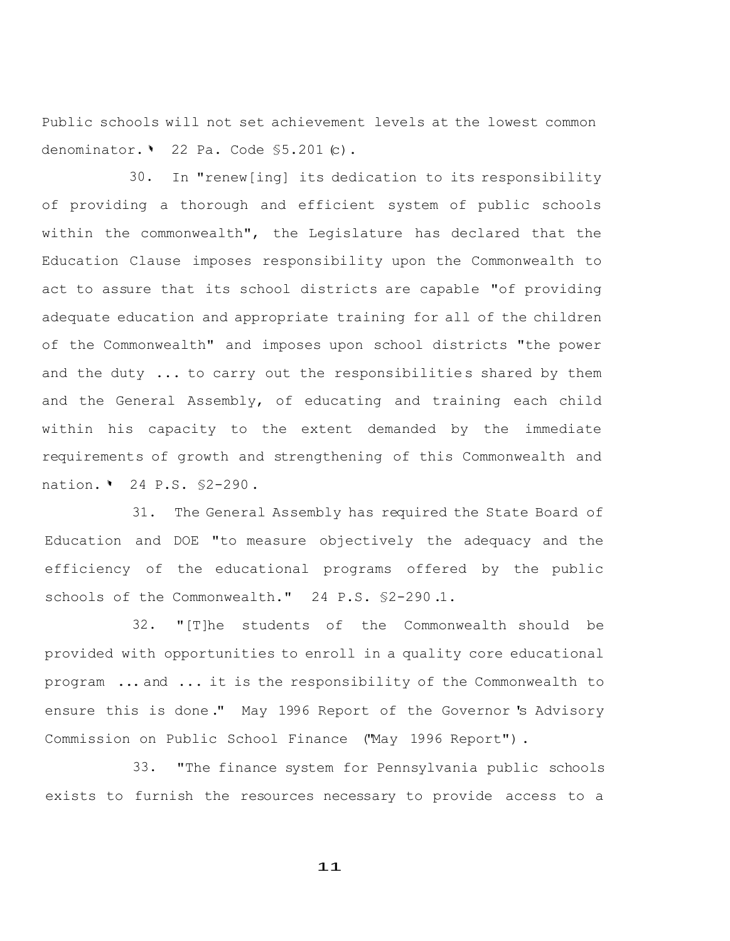Public schools will not set achievement levels at the lowest common denominator. ' 22 Pa. Code \$5.201 (c).

30. In "renew[ing] its dedication to its responsibility of providing a thorough and efficient system of public schools within the commonwealth", the Legislature has declared that the Education Clause imposes responsibility upon the Commonwealth to act to assure that its school districts are capable "of providing adequate education and appropriate training for all of the children of the Commonwealth" and imposes upon school districts "the power and the duty  $\ldots$  to carry out the responsibilities shared by them and the General Assembly, of educating and training each child within his capacity to the extent demanded by the immediate requirements of growth and strengthening of this Commonwealth and nation. <sup>1</sup> 24 P.S. \$2-290.

31. The General Assembly has required the State Board of Education and DOE "to measure objectively the adequacy and the efficiency of the educational programs offered by the public schools of the Commonwealth." 24 P.S. §2-290 .1.

32. "[T]he students of the Commonwealth should be provided with opportunities to enroll in a quality core educational program ... and ... it is the responsibility of the Commonwealth to ensure this is done." May 1996 Report of the Governor 's Advisory Commission on Public School Finance ("May 1996 Report") .

33. "The finance system for Pennsylvania public schools exists to furnish the resources necessary to provide access to a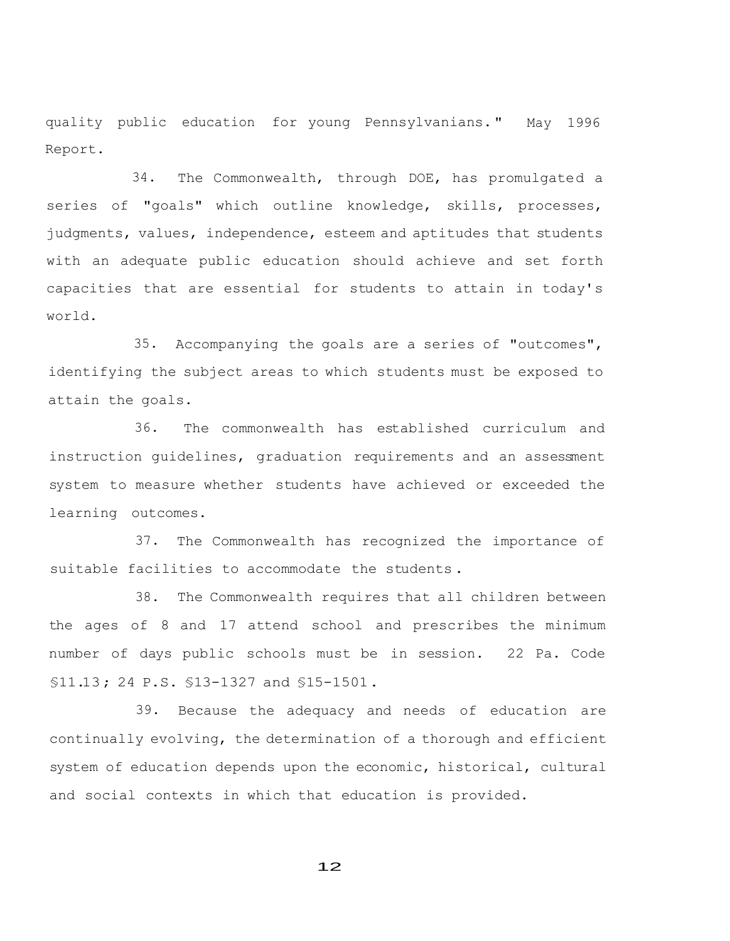quality public education for young Pennsylvanians. " May 1996 Report.

34. The Commonwealth, through DOE, has promulgated a series of "goals" which outline knowledge, skills, processes, judgments, values, independence, esteem and aptitudes that students with an adequate public education should achieve and set forth capacities that are essential for students to attain in today's world.

35. Accompanying the goals are a series of "outcomes", identifying the subject areas to which students must be exposed to attain the goals.

36. The commonwealth has established curriculum and instruction guidelines, graduation requirements and an assessment system to measure whether students have achieved or exceeded the learning outcomes.

37. The Commonwealth has recognized the importance of suitable facilities to accommodate the students .

38. The Commonwealth requires that all children between the ages of 8 and 17 attend school and prescribes the minimum number of days public schools must be in session. 22 Pa. Code §11.13; 24 P.S. §13-1327 and §15-1501.

39. Because the adequacy and needs of education are continually evolving, the determination of a thorough and efficient system of education depends upon the economic, historical, cultural and social contexts in which that education is provided.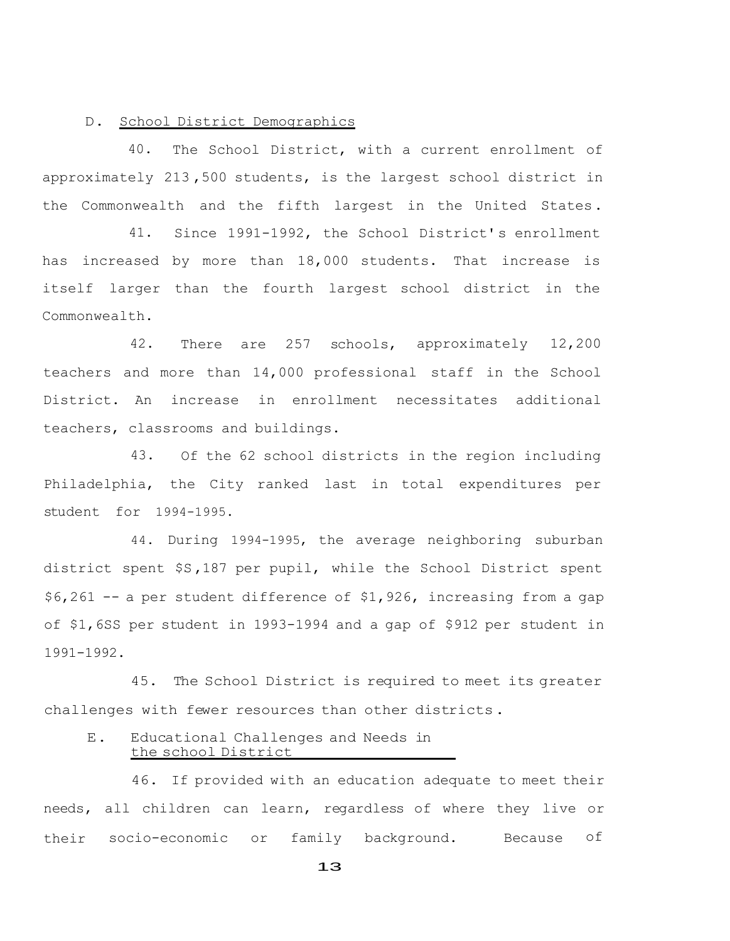### D. School District Demographics

40. The School District, with a current enrollment of approximately 213 ,500 students, is the largest school district in the Commonwealth and the fifth largest in the United States.

41. Since 1991-1992, the School District's enrollment has increased by more than 18,000 students. That increase is itself larger than the fourth largest school district in the Commonwealth.

42. There are 257 schools, approximately 12,200 teachers and more than 14,000 professional staff in the School District. An increase in enrollment necessitates additional teachers, classrooms and buildings.

43. Of the 62 school districts in the region including Philadelphia, the City ranked last in total expenditures per student for 1994-1995.

44. During 1994-1995, the average neighboring suburban district spent \$S,187 per pupil, while the School District spent \$6,261 -- a per student difference of \$1,926, increasing from a gap of \$1,6SS per student in 1993-1994 and a gap of \$912 per student in 1991-1992.

45. The School District is required to meet its greater challenges with fewer resources than other districts.

# E. Educational Challenges and Needs in the school District

46. If provided with an education adequate to meet their needs, all children can learn, regardless of where they live or their socio-economic or family background. Because of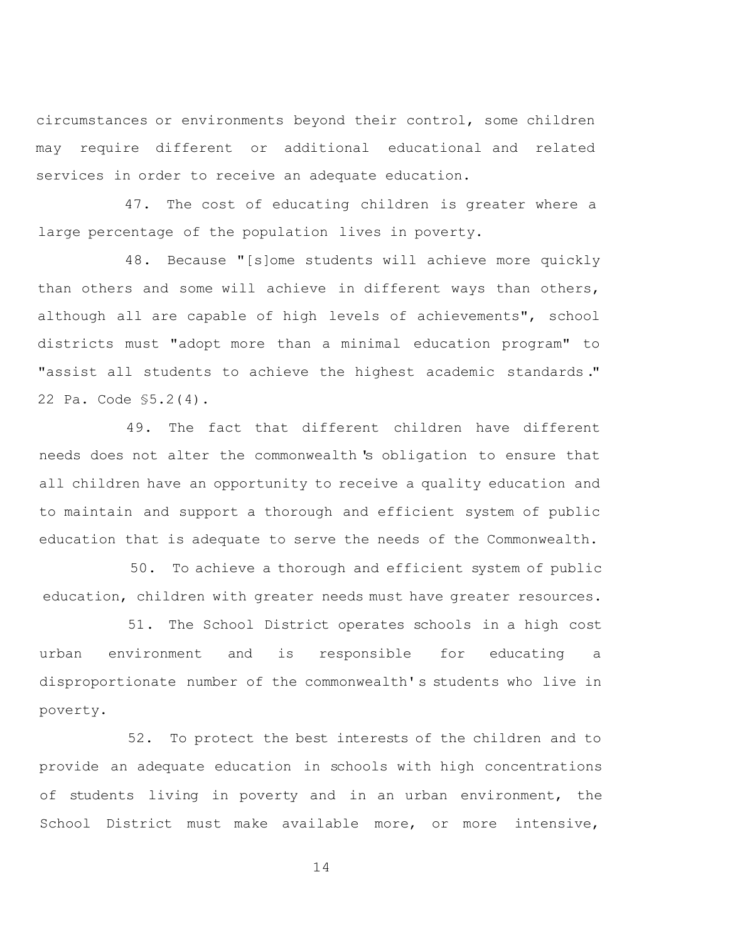circumstances or environments beyond their control, some children may require different or additional educational and related services in order to receive an adequate education.

47. The cost of educating children is greater where a large percentage of the population lives in poverty.

48. Because "[s]ome students will achieve more quickly than others and some will achieve in different ways than others, although all are capable of high levels of achievements", school districts must "adopt more than a minimal education program" to "assist all students to achieve the highest academic standards ." 22 Pa. Code §5.2(4).

49. The fact that different children have different needs does not alter the commonwealth 's obligation to ensure that all children have an opportunity to receive a quality education and to maintain and support a thorough and efficient system of public education that is adequate to serve the needs of the Commonwealth.

50. To achieve a thorough and efficient system of public education, children with greater needs must have greater resources.

51. The School District operates schools in a high cost urban environment and is responsible for educating a disproportionate number of the commonwealth' s students who live in poverty.

52. To protect the best interests of the children and to provide an adequate education in schools with high concentrations of students living in poverty and in an urban environment, the School District must make available more, or more intensive,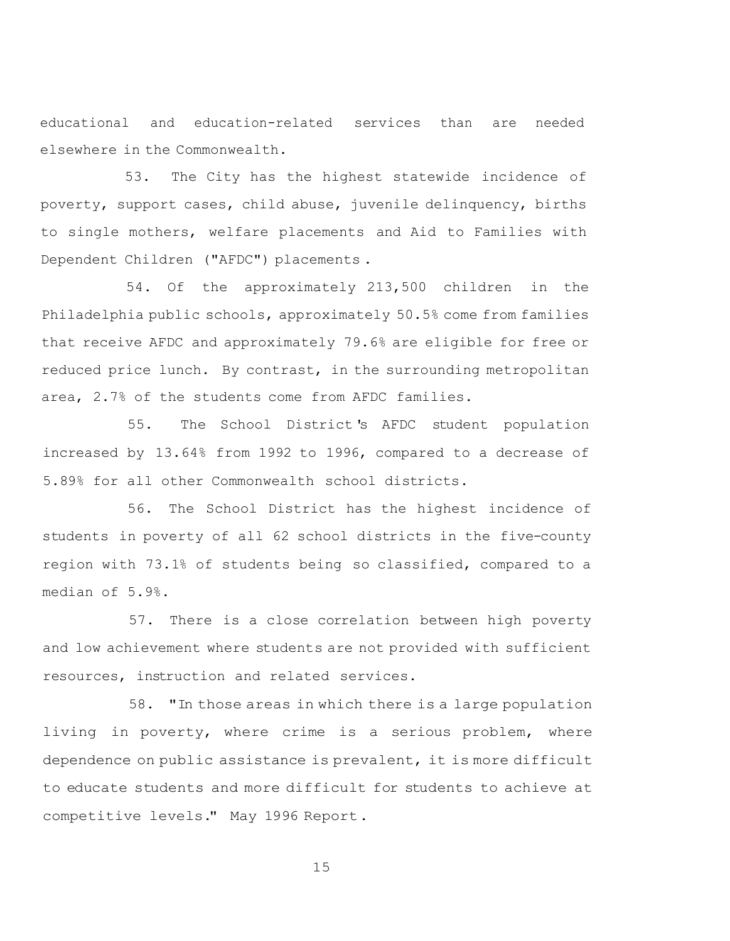educational and education-related services than are needed elsewhere in the Commonwealth.

53. The City has the highest statewide incidence of poverty, support cases, child abuse, juvenile delinquency, births to single mothers, welfare placements and Aid to Families with Dependent Children ("AFDC") placements .

54. Of the approximately 213,500 children in the Philadelphia public schools, approximately 50.5% come from families that receive AFDC and approximately 79.6% are eligible for free or reduced price lunch. By contrast, in the surrounding metropolitan area, 2.7% of the students come from AFDC families.

55. The School District 's AFDC student population increased by 13.64% from 1992 to 1996, compared to a decrease of 5.89% for all other Commonwealth school districts.

56. The School District has the highest incidence of students in poverty of all 62 school districts in the five-county region with 73.1% of students being so classified, compared to a median of 5.9%.

57. There is a close correlation between high poverty and low achievement where students are not provided with sufficient resources, instruction and related services.

58. "In those areas in which there is a large population living in poverty, where crime is a serious problem, where dependence on public assistance is prevalent, it is more difficult to educate students and more difficult for students to achieve at competitive levels." May 1996 Report.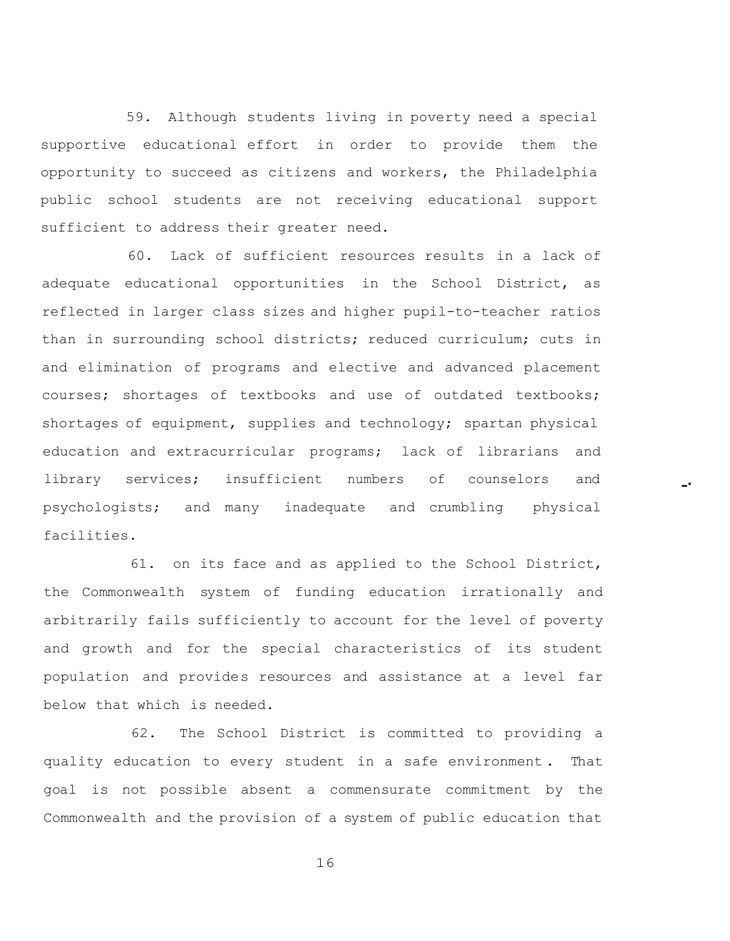59. Although students living in poverty need a special supportive educational effort in order to provide them the opportunity to succeed as citizens and workers, the Philadelphia public school students are not receiving educational support sufficient to address their greater need.

60. Lack of sufficient resources results in a lack of adequate educational opportunities in the School District, as reflected in larger class sizes and higher pupil-to-teacher ratios than in surrounding school districts; reduced curriculum; cuts in and elimination of programs and elective and advanced placement courses; shortages of textbooks and use of outdated textbooks; shortages of equipment, supplies and technology; spartan physical education and extracurricular programs; lack of librarians and library services; insufficient numbers of counselors and psychologists; and many inadequate and crumbling physical facilities.

-·

61. on its face and as applied to the School District, the Commonwealth system of funding education irrationally and arbitrarily fails sufficiently to account for the level of poverty and growth and for the special characteristics of its student population and provides resources and assistance at a level far below that which is needed.

62. The School District is committed to providing a quality education to every student in a safe environment . That goal is not possible absent a commensurate commitment by the Commonwealth and the provision of a system of public education that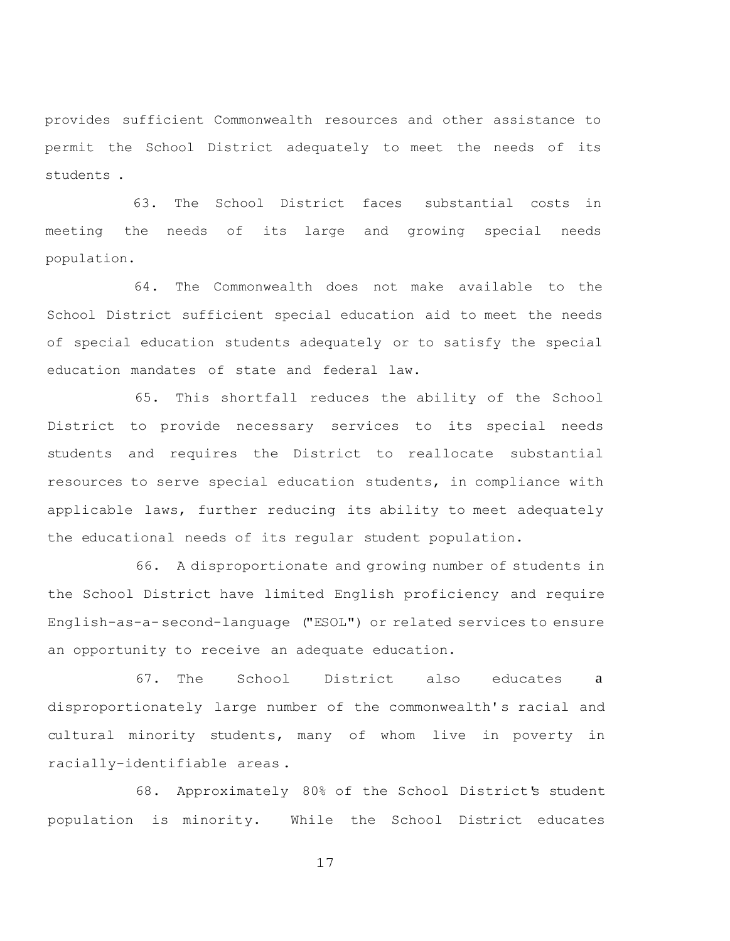provides sufficient Commonwealth resources and other assistance to permit the School District adequately to meet the needs of its students .

63. The School District faces substantial costs in meeting the needs of its large and growing special needs population.

64. The Commonwealth does not make available to the School District sufficient special education aid to meet the needs of special education students adequately or to satisfy the special education mandates of state and federal law.

65. This shortfall reduces the ability of the School District to provide necessary services to its special needs students and requires the District to reallocate substantial resources to serve special education students, in compliance with applicable laws, further reducing its ability to meet adequately the educational needs of its regular student population.

66. A disproportionate and growing number of students in the School District have limited English proficiency and require English-as-a-second-language ("ESOL") or related services to ensure an opportunity to receive an adequate education.

67. The School District also educates a disproportionately large number of the commonwealth's racial and cultural minority students, many of whom live in poverty in racially-identifiable areas .

68. Approximately 80% of the School District's student population is minority. While the School District educates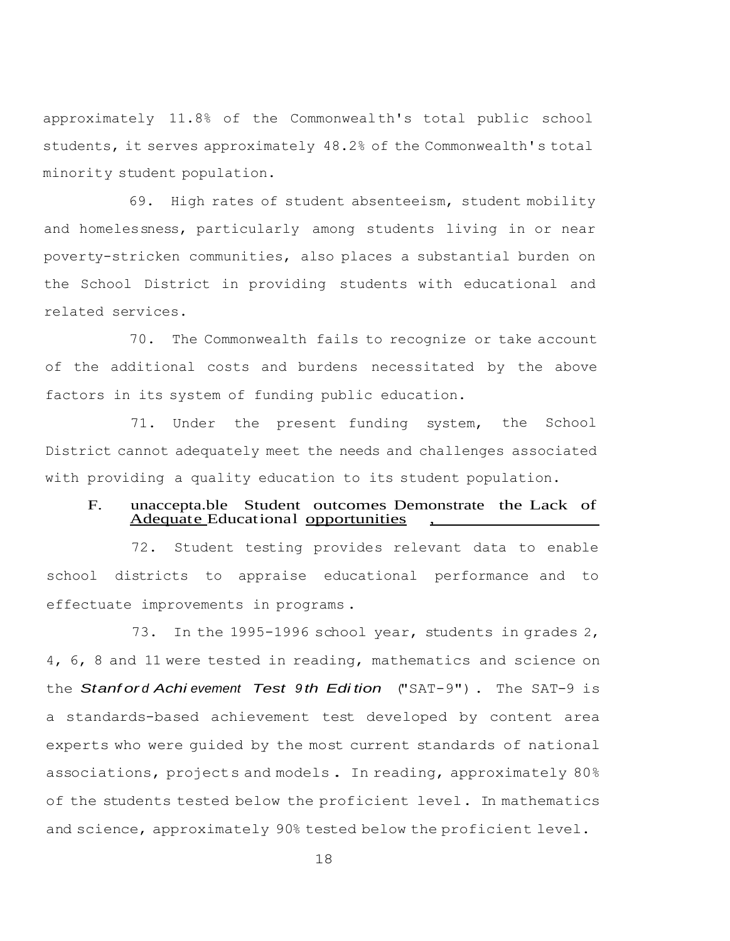approximately 11.8% of the Commonwealth's total public school students, it serves approximately 48.2% of the Commonwealth's total minority student population.

69. High rates of student absenteeism, student mobility and homelessness, particularly among students living in or near poverty-stricken communities, also places a substantial burden on the School District in providing students with educational and related services.

70. The Commonwealth fails to recognize or take account of the additional costs and burdens necessitated by the above factors in its system of funding public education.

71. Under the present funding system, the School District cannot adequately meet the needs and challenges associated with providing a quality education to its student population.

## F. unaccepta.ble Student outcomes Demonstrate the Lack of Adequate Educational opportunities

72. Student testing provides relevant data to enable school districts to appraise educational performance and to effectuate improvements in programs .

73. In the 1995-1996 school year, students in grades 2, 4, 6, 8 and 11 were tested in reading, mathematics and science on the *Stanf or d Achi evement Test 9 th Edi tion* ("SAT-9") . The SAT-9 is a standards-based achievement test developed by content area experts who were guided by the most current standards of national associations, projects and models. In reading, approximately 80% of the students tested below the proficient level. In mathematics and science, approximately 90% tested below the proficient level.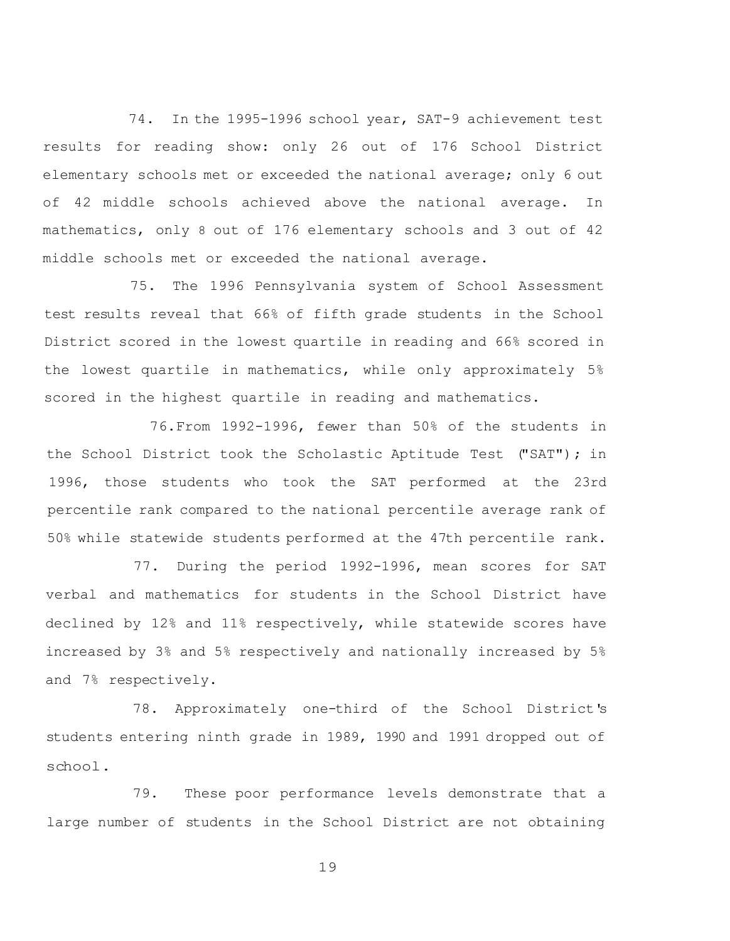74. In the 1995-1996 school year, SAT-9 achievement test results for reading show: only 26 out of 176 School District elementary schools met or exceeded the national average; only 6 out of 42 middle schools achieved above the national average. In mathematics, only 8 out of 176 elementary schools and 3 out of 42 middle schools met or exceeded the national average.

75. The 1996 Pennsylvania system of School Assessment test results reveal that 66% of fifth grade students in the School District scored in the lowest quartile in reading and 66% scored in the lowest quartile in mathematics, while only approximately 5% scored in the highest quartile in reading and mathematics.

76.From 1992-1996, fewer than 50% of the students in the School District took the Scholastic Aptitude Test ("SAT"); in 1996, those students who took the SAT performed at the 23rd percentile rank compared to the national percentile average rank of 50% while statewide students performed at the 47th percentile rank.

77. During the period 1992-1996, mean scores for SAT verbal and mathematics for students in the School District have declined by 12% and 11% respectively, while statewide scores have increased by 3% and 5% respectively and nationally increased by 5% and 7% respectively.

78. Approximately one-third of the School District's students entering ninth grade in 1989, 1990 and 1991 dropped out of school.

79. These poor performance levels demonstrate that a large number of students in the School District are not obtaining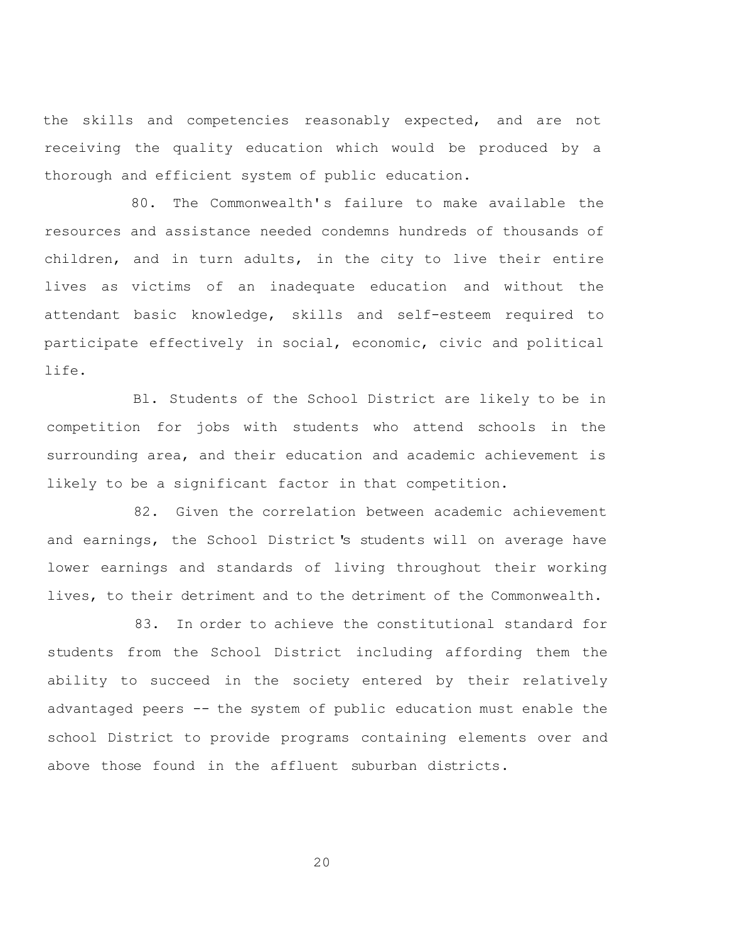the skills and competencies reasonably expected, and are not receiving the quality education which would be produced by a thorough and efficient system of public education.

80. The Commonwealth's failure to make available the resources and assistance needed condemns hundreds of thousands of children, and in turn adults, in the city to live their entire lives as victims of an inadequate education and without the attendant basic knowledge, skills and self-esteem required to participate effectively in social, economic, civic and political life.

Bl. Students of the School District are likely to be in competition for jobs with students who attend schools in the surrounding area, and their education and academic achievement is likely to be a significant factor in that competition.

82. Given the correlation between academic achievement and earnings, the School District's students will on average have lower earnings and standards of living throughout their working lives, to their detriment and to the detriment of the Commonwealth.

83. In order to achieve the constitutional standard for students from the School District including affording them the ability to succeed in the society entered by their relatively advantaged peers -- the system of public education must enable the school District to provide programs containing elements over and above those found in the affluent suburban districts.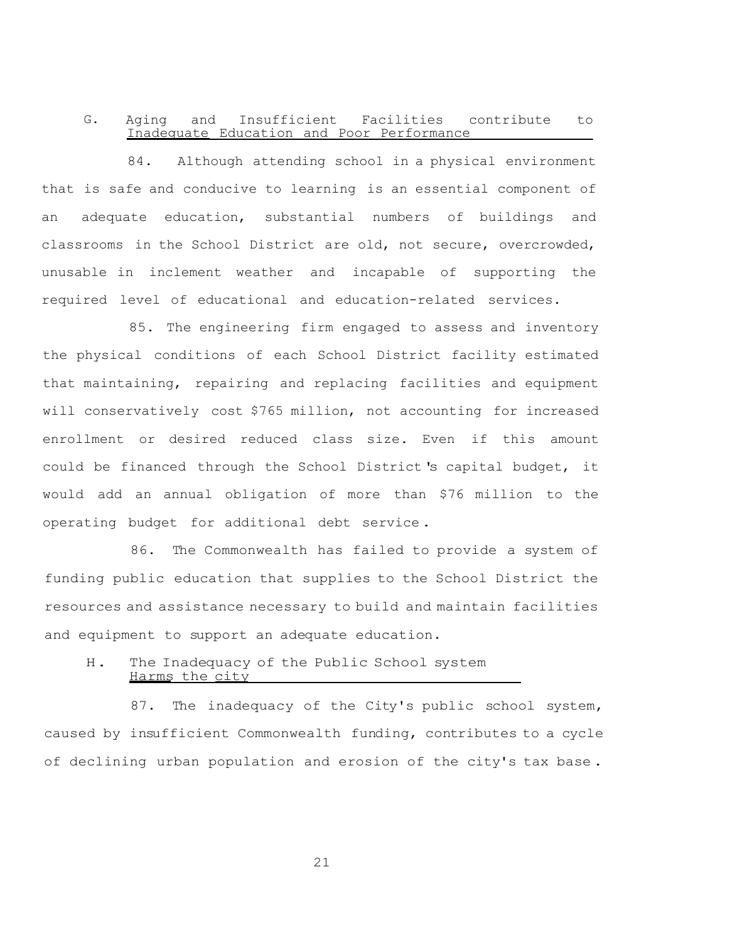### G. Aging and Insufficient Facilities contribute to Inadequate Education and Poor Performance

84. Although attending school in a physical environment that is safe and conducive to learning is an essential component of an adequate education, substantial numbers of buildings and classrooms in the School District are old, not secure, overcrowded, unusable in inclement weather and incapable of supporting the required level of educational and education-related services.

85. The engineering firm engaged to assess and inventory the physical conditions of each School District facility estimated that maintaining, repairing and replacing facilities and equipment will conservatively cost \$765 million, not accounting for increased enrollment or desired reduced class size. Even if this amount could be financed through the School District's capital budget, it would add an annual obligation of more than \$76 million to the operating budget for additional debt service .

86. The Commonwealth has failed to provide a system of funding public education that supplies to the School District the resources and assistance necessary to build and maintain facilities and equipment to support an adequate education.

### H. The Inadequacy of the Public School system Harms the city

87. The inadequacy of the City's public school system, caused by insufficient Commonwealth funding, contributes to a cycle of declining urban population and erosion of the city's tax base .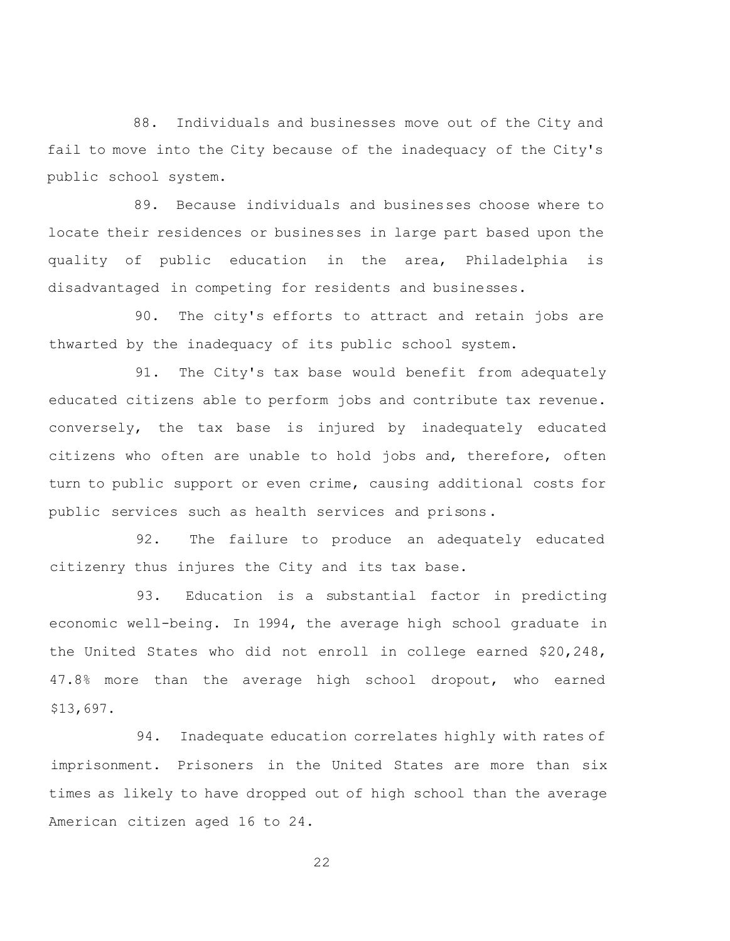88. Individuals and businesses move out of the City and fail to move into the City because of the inadequacy of the City's public school system.

89. Because individuals and businesses choose where to locate their residences or businesses in large part based upon the quality of public education in the area, Philadelphia is disadvantaged in competing for residents and businesses.

90. The city's efforts to attract and retain jobs are thwarted by the inadequacy of its public school system.

91. The City's tax base would benefit from adequately educated citizens able to perform jobs and contribute tax revenue. conversely, the tax base is injured by inadequately educated citizens who often are unable to hold jobs and, therefore, often turn to public support or even crime, causing additional costs for public services such as health services and prisons.

92. The failure to produce an adequately educated citizenry thus injures the City and its tax base.

93. Education is a substantial factor in predicting economic well-being. In 1994, the average high school graduate in the United States who did not enroll in college earned \$20,248, 47.8% more than the average high school dropout, who earned \$13,697.

94. Inadequate education correlates highly with rates of imprisonment. Prisoners in the United States are more than six times as likely to have dropped out of high school than the average American citizen aged 16 to 24.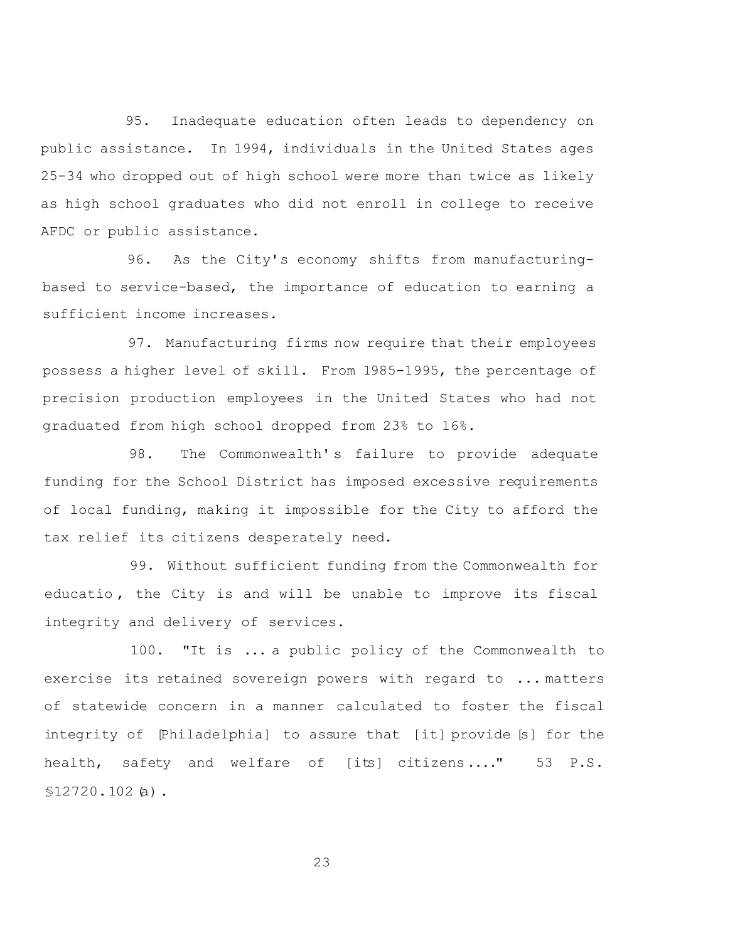95. Inadequate education often leads to dependency on public assistance. In 1994, individuals in the United States ages 25-34 who dropped out of high school were more than twice as likely as high school graduates who did not enroll in college to receive AFDC or public assistance.

96. As the City's economy shifts from manufacturingbased to service-based, the importance of education to earning a sufficient income increases.

97. Manufacturing firms now require that their employees possess a higher level of skill. From 1985-1995, the percentage of precision production employees in the United States who had not graduated from high school dropped from 23% to 16%.

98. The Commonwealth' s failure to provide adequate funding for the School District has imposed excessive requirements of local funding, making it impossible for the City to afford the tax relief its citizens desperately need.

99. Without sufficient funding from the Commonwealth for educatio , the City is and will be unable to improve its fiscal integrity and delivery of services.

100. "It is ... a public policy of the Commonwealth to exercise its retained sovereign powers with regard to ... matters of statewide concern in a manner calculated to foster the fiscal integrity of [Philadelphia] to assure that [it] provide [s] for the health, safety and welfare of [its] citizens...." 53 P.S. §12720.102(a).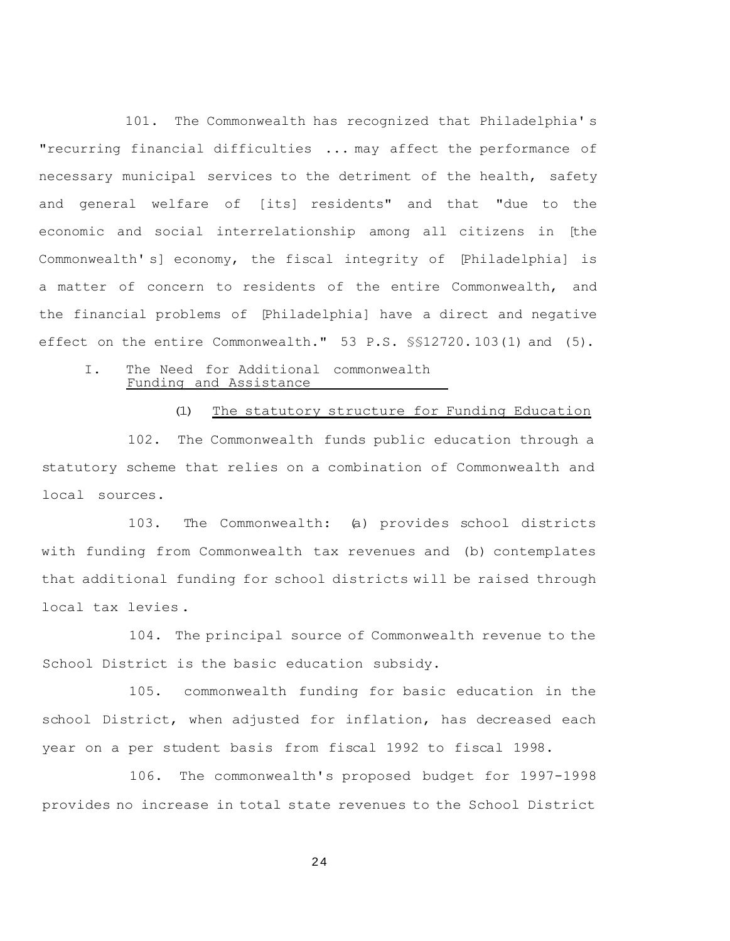101. The Commonwealth has recognized that Philadelphia' s "recurring financial difficulties ... may affect the performance of necessary municipal services to the detriment of the health, safety and general welfare of [its] residents" and that "due to the economic and social interrelationship among all citizens in [the Commonwealth' s] economy, the fiscal integrity of [Philadelphia] is a matter of concern to residents of the entire Commonwealth, and the financial problems of [Philadelphia] have a direct and negative effect on the entire Commonwealth." 53 P.S. §§12720. 103(1) and (5).

#### I. The Need for Additional commonwealth Funding and Assistance

(1) The statutory structure for Funding Education

102. The Commonwealth funds public education through a statutory scheme that relies on a combination of Commonwealth and local sources.

103. The Commonwealth: (a) provides school districts with funding from Commonwealth tax revenues and (b) contemplates that additional funding for school districts will be raised through local tax levies .

104. The principal source of Commonwealth revenue to the School District is the basic education subsidy.

105. commonwealth funding for basic education in the school District, when adjusted for inflation, has decreased each year on a per student basis from fiscal 1992 to fiscal 1998.

106. The commonwealth's proposed budget for 1997-1998 provides no increase in total state revenues to the School District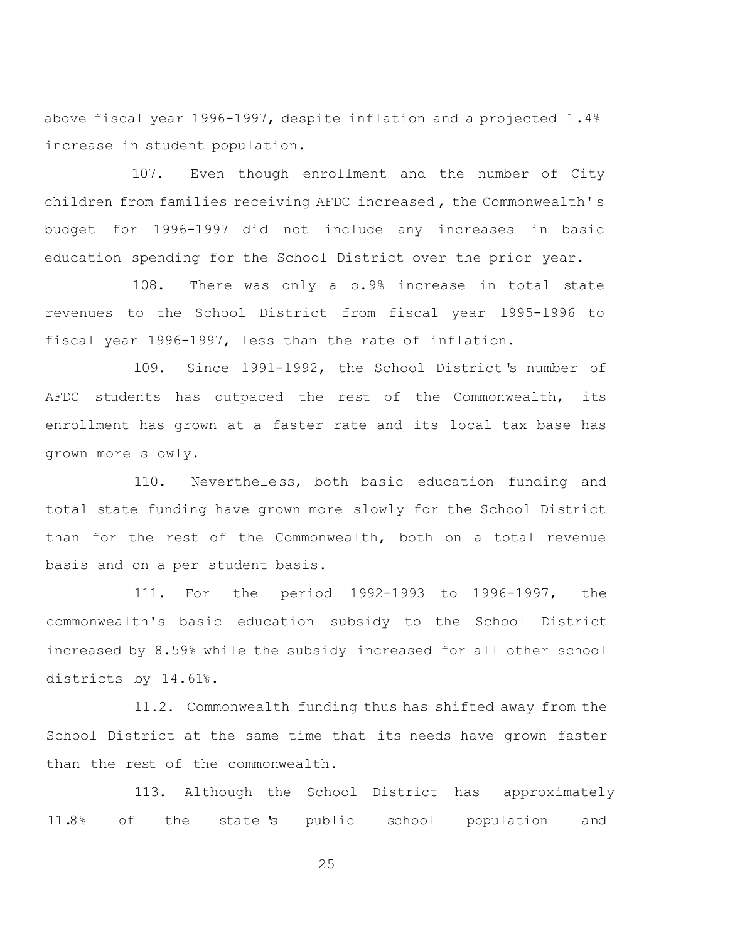above fiscal year 1996-1997, despite inflation and a projected 1.4% increase in student population.

107. Even though enrollment and the number of City children from families receiving AFDC increased , the Commonwealth' s budget for 1996-1997 did not include any increases in basic education spending for the School District over the prior year.

108. There was only a o.9% increase in total state revenues to the School District from fiscal year 1995-1996 to fiscal year 1996-1997, less than the rate of inflation.

109. Since 1991-1992, the School District's number of AFDC students has outpaced the rest of the Commonwealth, its enrollment has grown at a faster rate and its local tax base has grown more slowly.

110. Nevertheless, both basic education funding and total state funding have grown more slowly for the School District than for the rest of the Commonwealth, both on a total revenue basis and on a per student basis.

111. For the period 1992-1993 to 1996-1997, the commonwealth's basic education subsidy to the School District increased by 8.59% while the subsidy increased for all other school districts by 14.61%.

11.2. Commonwealth funding thus has shifted away from the School District at the same time that its needs have grown faster than the rest of the commonwealth.

113. Although the School District has approximately 11.8% of the state 's public school population and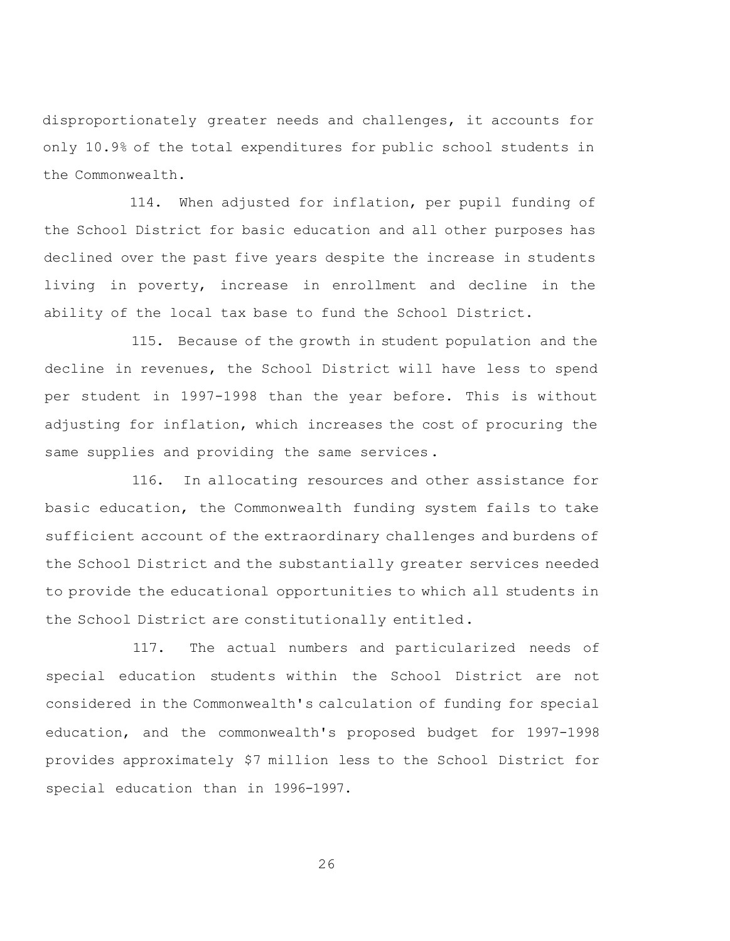disproportionately greater needs and challenges, it accounts for only 10.9% of the total expenditures for public school students in the Commonwealth.

114. When adjusted for inflation, per pupil funding of the School District for basic education and all other purposes has declined over the past five years despite the increase in students living in poverty, increase in enrollment and decline in the ability of the local tax base to fund the School District.

115. Because of the growth in student population and the decline in revenues, the School District will have less to spend per student in 1997-1998 than the year before. This is without adjusting for inflation, which increases the cost of procuring the same supplies and providing the same services.

116. In allocating resources and other assistance for basic education, the Commonwealth funding system fails to take sufficient account of the extraordinary challenges and burdens of the School District and the substantially greater services needed to provide the educational opportunities to which all students in the School District are constitutionally entitled.

117. The actual numbers and particularized needs of special education students within the School District are not considered in the Commonwealth's calculation of funding for special education, and the commonwealth's proposed budget for 1997-1998 provides approximately \$7 million less to the School District for special education than in 1996-1997.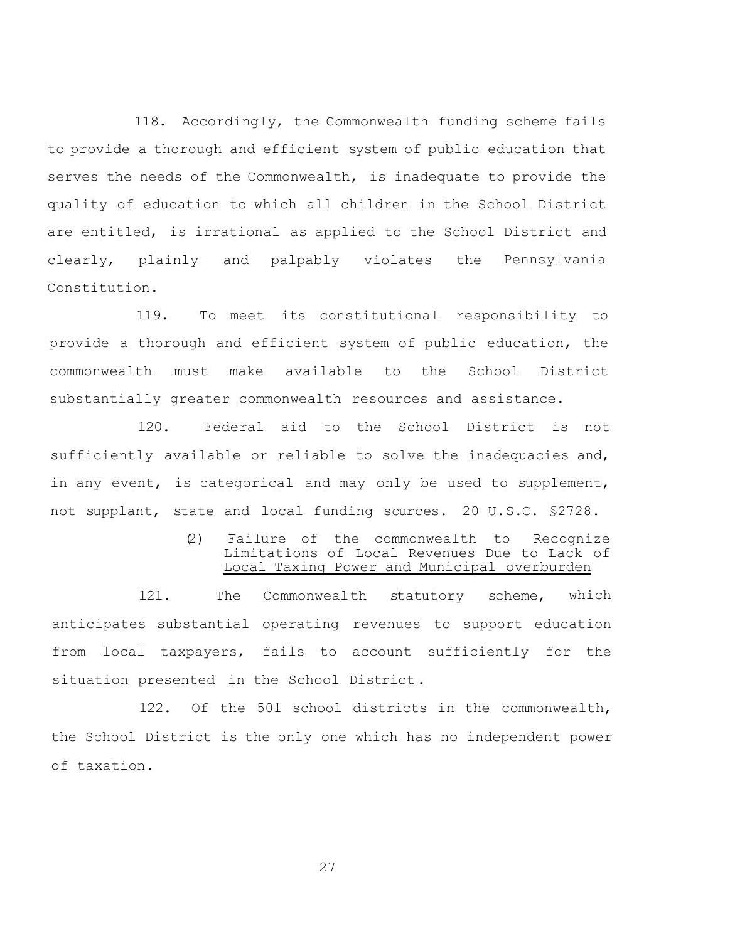118. Accordingly, the Commonwealth funding scheme fails to provide a thorough and efficient system of public education that serves the needs of the Commonwealth, is inadequate to provide the quality of education to which all children in the School District are entitled, is irrational as applied to the School District and clearly, plainly and palpably violates the Pennsylvania Constitution.

119. To meet its constitutional responsibility to provide a thorough and efficient system of public education, the commonwealth must make available to the School District substantially greater commonwealth resources and assistance.

120. Federal aid to the School District is not sufficiently available or reliable to solve the inadequacies and, in any event, is categorical and may only be used to supplement, not supplant, state and local funding sources. 20 U.S.C. §2728.

> (2) Failure of the commonwealth to Recognize Limitations of Local Revenues Due to Lack of Local Taxing Power and Municipal overburden

121. The Commonwealth statutory scheme, which anticipates substantial operating revenues to support education from local taxpayers, fails to account sufficiently for the situation presented in the School District.

122. Of the 501 school districts in the commonwealth, the School District is the only one which has no independent power of taxation.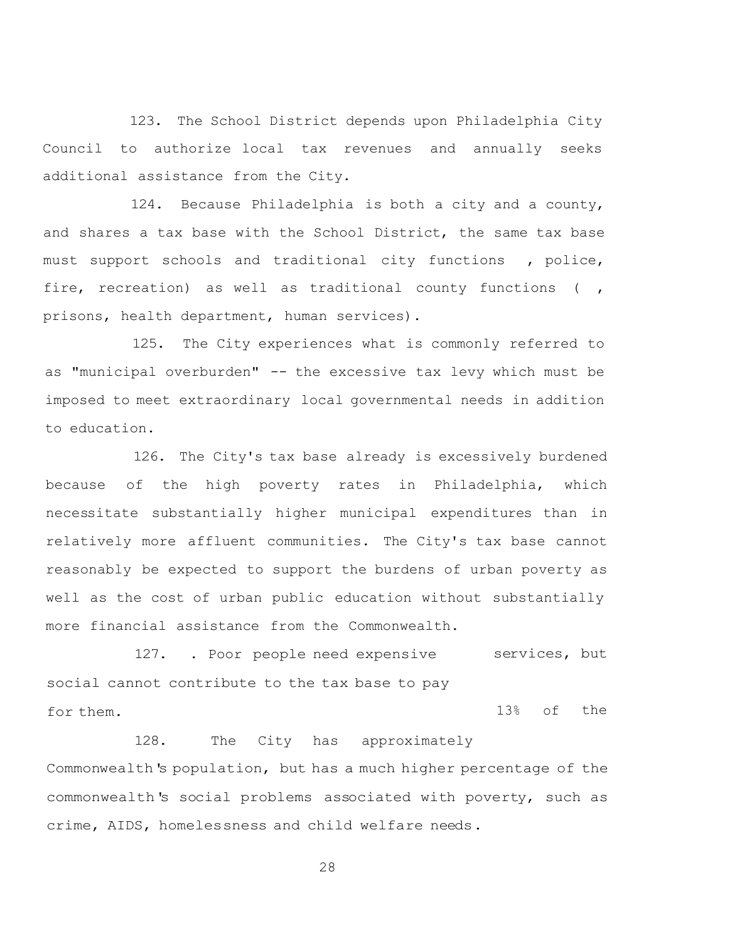123. The School District depends upon Philadelphia City Council to authorize local tax revenues and annually seeks additional assistance from the City.

124. Because Philadelphia is both a city and a county, and shares a tax base with the School District, the same tax base must support schools and traditional city functions , police, fire, recreation) as well as traditional county functions (, prisons, health department, human services).

125. The City experiences what is commonly referred to as "municipal overburden" -- the excessive tax levy which must be imposed to meet extraordinary local governmental needs in addition to education.

126. The City's tax base already is excessively burdened because of the high poverty rates in Philadelphia, which necessitate substantially higher municipal expenditures than in relatively more affluent communities. The City's tax base cannot reasonably be expected to support the burdens of urban poverty as well as the cost of urban public education without substantially more financial assistance from the Commonwealth.

127. . Poor people need expensive services, but social cannot contribute to the tax base to pay for them. 13% of the

128. The City has approximately Commonwealth's population, but has a much higher percentage of the commonwealth's social problems associated with poverty, such as crime, AIDS, homelessness and child welfare needs.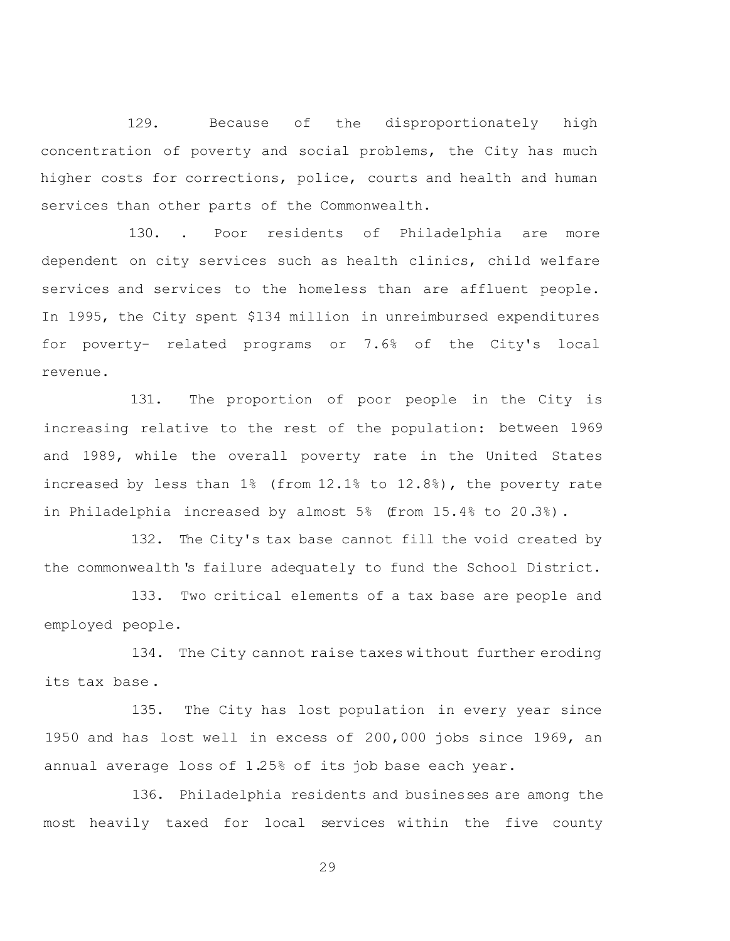129. Because of the disproportionately high concentration of poverty and social problems, the City has much higher costs for corrections, police, courts and health and human services than other parts of the Commonwealth.

130. . Poor residents of Philadelphia are more dependent on city services such as health clinics, child welfare services and services to the homeless than are affluent people. In 1995, the City spent \$134 million in unreimbursed expenditures for poverty- related programs or 7.6% of the City's local revenue.

131. The proportion of poor people in the City is increasing relative to the rest of the population: between 1969 and 1989, while the overall poverty rate in the United States increased by less than 1% (from 12.1% to 12.8%), the poverty rate in Philadelphia increased by almost 5% (from 15.4% to 20.3%).

132. The City's tax base cannot fill the void created by the commonwealth 's failure adequately to fund the School District.

133. Two critical elements of a tax base are people and employed people.

134. The City cannot raise taxes without further eroding its tax base.

135. The City has lost population in every year since 1950 and has lost well in excess of 200,000 jobs since 1969, an annual average loss of 1.25% of its job base each year.

136. Philadelphia residents and businesses are among the most heavily taxed for local services within the five county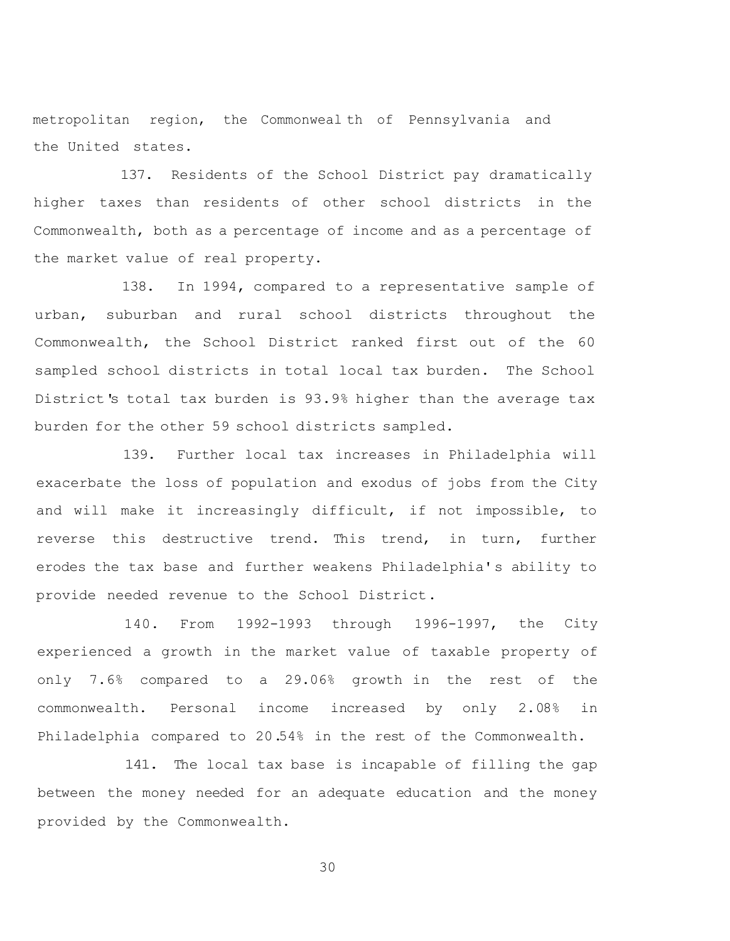metropolitan region, the Commonweal th of Pennsylvania and the United states.

137. Residents of the School District pay dramatically higher taxes than residents of other school districts in the Commonwealth, both as a percentage of income and as a percentage of the market value of real property.

138. In 1994, compared to a representative sample of urban, suburban and rural school districts throughout the Commonwealth, the School District ranked first out of the 60 sampled school districts in total local tax burden. The School District's total tax burden is 93.9% higher than the average tax burden for the other 59 school districts sampled.

139. Further local tax increases in Philadelphia will exacerbate the loss of population and exodus of jobs from the City and will make it increasingly difficult, if not impossible, to reverse this destructive trend. This trend, in turn, further erodes the tax base and further weakens Philadelphia's ability to provide needed revenue to the School District.

140. From 1992-1993 through 1996-1997, the City experienced a growth in the market value of taxable property of only 7.6% compared to a 29.06% growth in the rest of the commonwealth. Personal income increased by only 2.08% in Philadelphia compared to 20.54% in the rest of the Commonwealth.

141. The local tax base is incapable of filling the gap between the money needed for an adequate education and the money provided by the Commonwealth.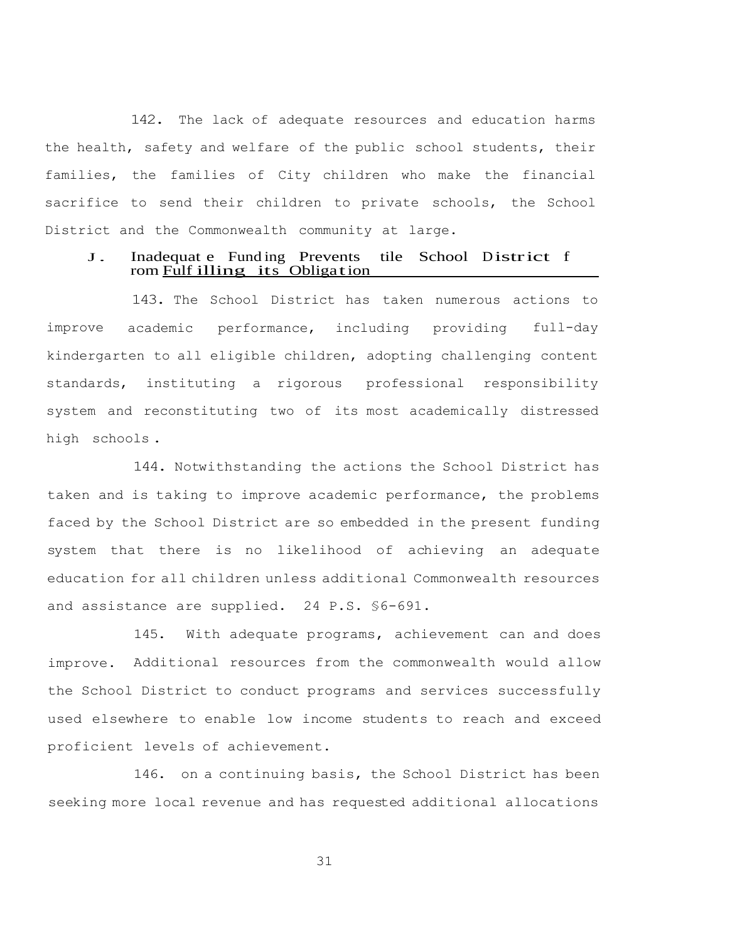142. The lack of adequate resources and education harms the health, safety and welfare of the public school students, their families, the families of City children who make the financial sacrifice to send their children to private schools, the School District and the Commonwealth community at large.

### J. Inadequat <sup>e</sup> Fund ing Prevents tile School District <sup>f</sup> rom Fulf illing its Obligation

143. The School District has taken numerous actions to improve academic performance, including providing full-day kindergarten to all eligible children, adopting challenging content standards, instituting a rigorous professional responsibility system and reconstituting two of its most academically distressed high schools .

144. Notwithstanding the actions the School District has taken and is taking to improve academic performance, the problems faced by the School District are so embedded in the present funding system that there is no likelihood of achieving an adequate education for all children unless additional Commonwealth resources and assistance are supplied. 24 P.S. §6-691.

145. With adequate programs, achievement can and does improve. Additional resources from the commonwealth would allow the School District to conduct programs and services successfully used elsewhere to enable low income students to reach and exceed proficient levels of achievement.

146. on a continuing basis, the School District has been seeking more local revenue and has requested additional allocations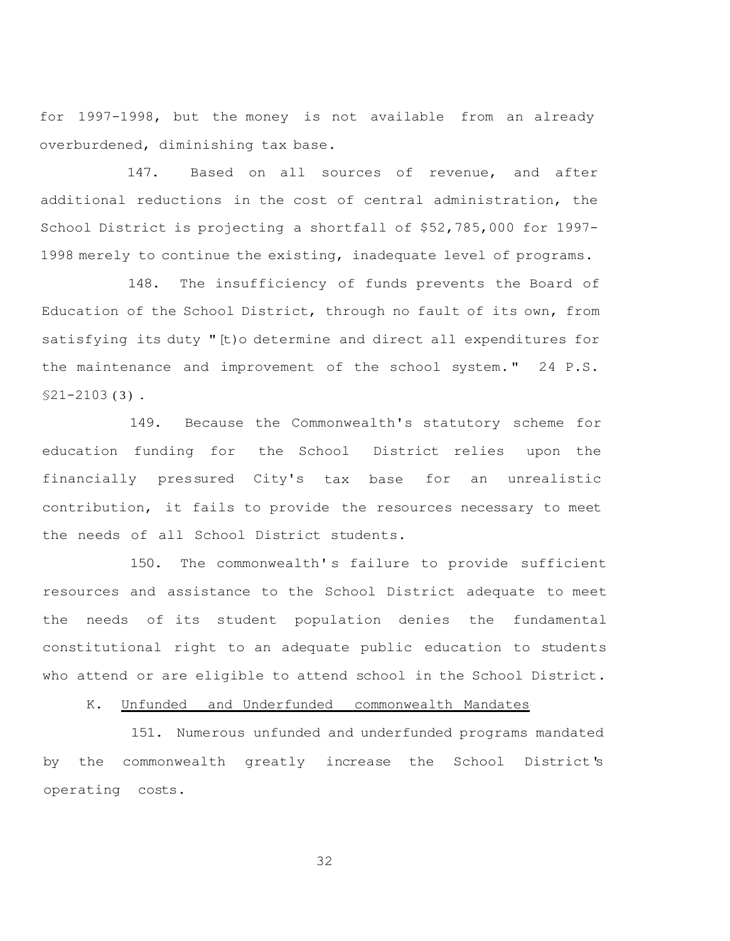for 1997-1998, but the money is not available from an already overburdened, diminishing tax base.

147. Based on all sources of revenue, and after additional reductions in the cost of central administration, the School District is projecting a shortfall of \$52,785,000 for 1997- 1998 merely to continue the existing, inadequate level of programs.

148. The insufficiency of funds prevents the Board of Education of the School District, through no fault of its own, from satisfying its duty "[t)o determine and direct all expenditures for the maintenance and improvement of the school system." 24 P.S.  $$21-2103(3)$ .

149. Because the Commonwealth's statutory scheme for education funding for the School District relies upon the financially pressured City's tax base for an unrealistic contribution, it fails to provide the resources necessary to meet the needs of all School District students.

150. The commonwealth' s failure to provide sufficient resources and assistance to the School District adequate to meet the needs of its student population denies the fundamental constitutional right to an adequate public education to students who attend or are eligible to attend school in the School District.

K. Unfunded and Underfunded commonwealth Mandates

151. Numerous unfunded and underfunded programs mandated by the commonwealth greatly increase the School District's operating costs.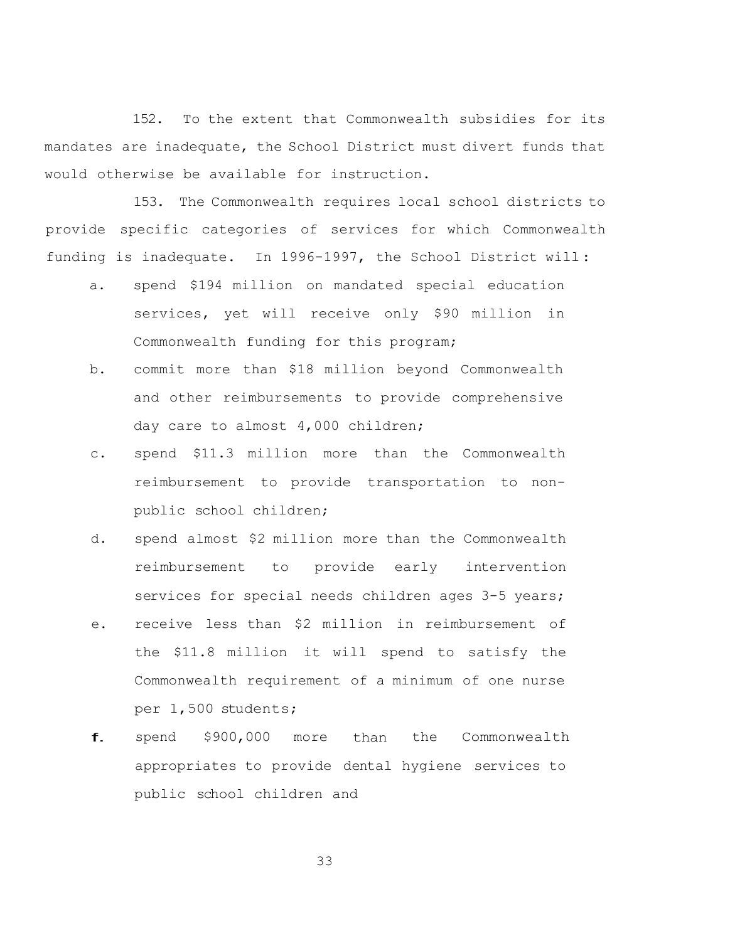152. To the extent that Commonwealth subsidies for its mandates are inadequate, the School District must divert funds that would otherwise be available for instruction.

153. The Commonwealth requires local school districts to provide specific categories of services for which Commonwealth funding is inadequate. In 1996-1997, the School District will :

- a. spend \$194 million on mandated special education services, yet will receive only \$90 million in Commonwealth funding for this program;
- b. commit more than \$18 million beyond Commonwealth and other reimbursements to provide comprehensive day care to almost 4,000 children;
- c. spend \$11.3 million more than the Commonwealth reimbursement to provide transportation to nonpublic school children;
- d. spend almost \$2 million more than the Commonwealth reimbursement to provide early intervention services for special needs children ages 3-5 years;
- e. receive less than \$2 million in reimbursement of the \$11.8 million it will spend to satisfy the Commonwealth requirement of a minimum of one nurse per 1,500 students;
- f. spend \$900,000 more than the Commonwealth appropriates to provide dental hygiene services to public school children and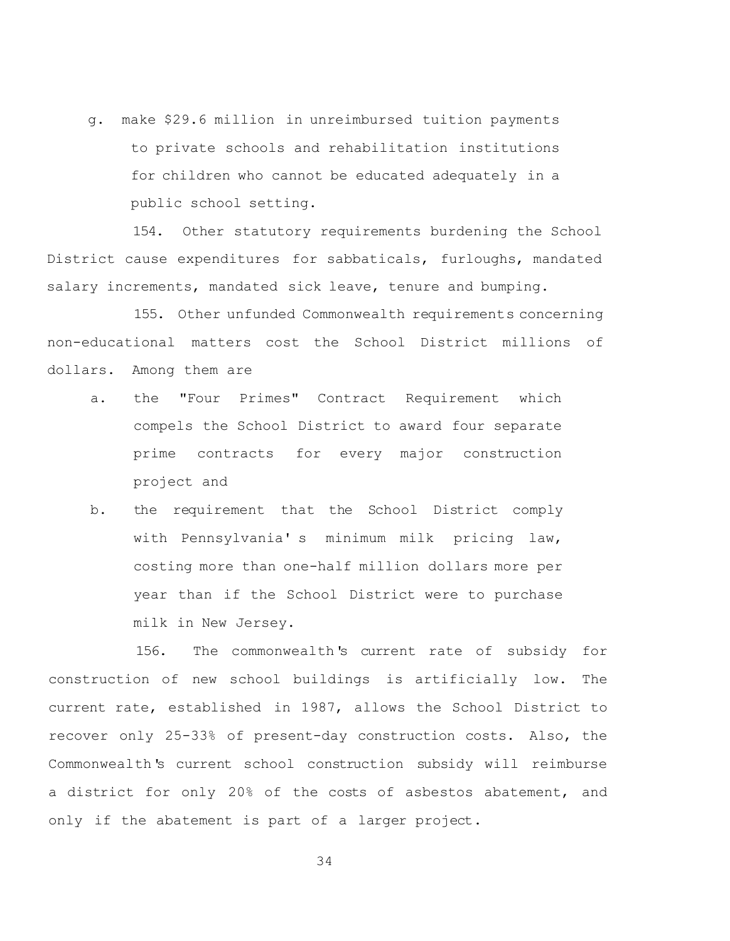g. make \$29.6 million in unreimbursed tuition payments to private schools and rehabilitation institutions for children who cannot be educated adequately in a public school setting.

154. Other statutory requirements burdening the School District cause expenditures for sabbaticals, furloughs, mandated salary increments, mandated sick leave, tenure and bumping.

155. Other unfunded Commonwealth requirements concerning non-educational matters cost the School District millions of dollars. Among them are

- a. the "Four Primes" Contract Requirement which compels the School District to award four separate prime contracts for every major construction project and
- b. the requirement that the School District comply with Pennsylvania' s minimum milk pricing law, costing more than one-half million dollars more per year than if the School District were to purchase milk in New Jersey.

156. The commonwealth's current rate of subsidy for construction of new school buildings is artificially low. The current rate, established in 1987, allows the School District to recover only 25-33% of present-day construction costs. Also, the Commonwealth's current school construction subsidy will reimburse a district for only 20% of the costs of asbestos abatement, and only if the abatement is part of a larger project.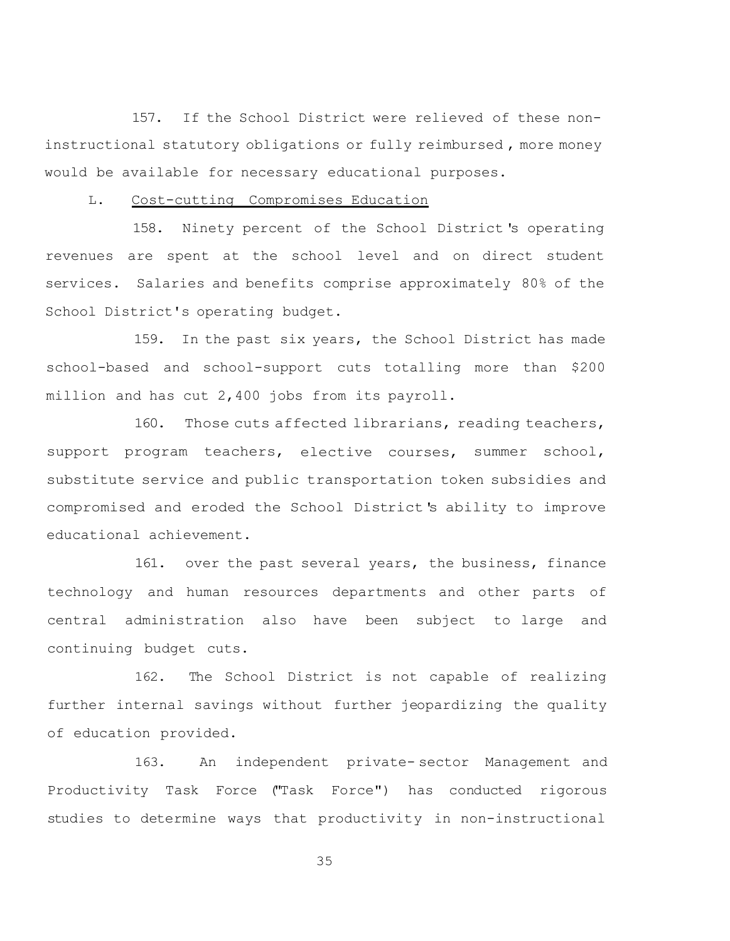157. If the School District were relieved of these noninstructional statutory obligations or fully reimbursed , more money would be available for necessary educational purposes.

## L. Cost-cutting Compromises Education

158. Ninety percent of the School District 's operating revenues are spent at the school level and on direct student services. Salaries and benefits comprise approximately 80% of the School District's operating budget.

159. In the past six years, the School District has made school-based and school-support cuts totalling more than \$200 million and has cut 2,400 jobs from its payroll.

160. Those cuts affected librarians, reading teachers, support program teachers, elective courses, summer school, substitute service and public transportation token subsidies and compromised and eroded the School District's ability to improve educational achievement.

161. over the past several years, the business, finance technology and human resources departments and other parts of central administration also have been subject to large and continuing budget cuts.

162. The School District is not capable of realizing further internal savings without further jeopardizing the quality of education provided.

163. An independent private- sector Management and Productivity Task Force ("Task Force") has conducted rigorous studies to determine ways that productivity in non-instructional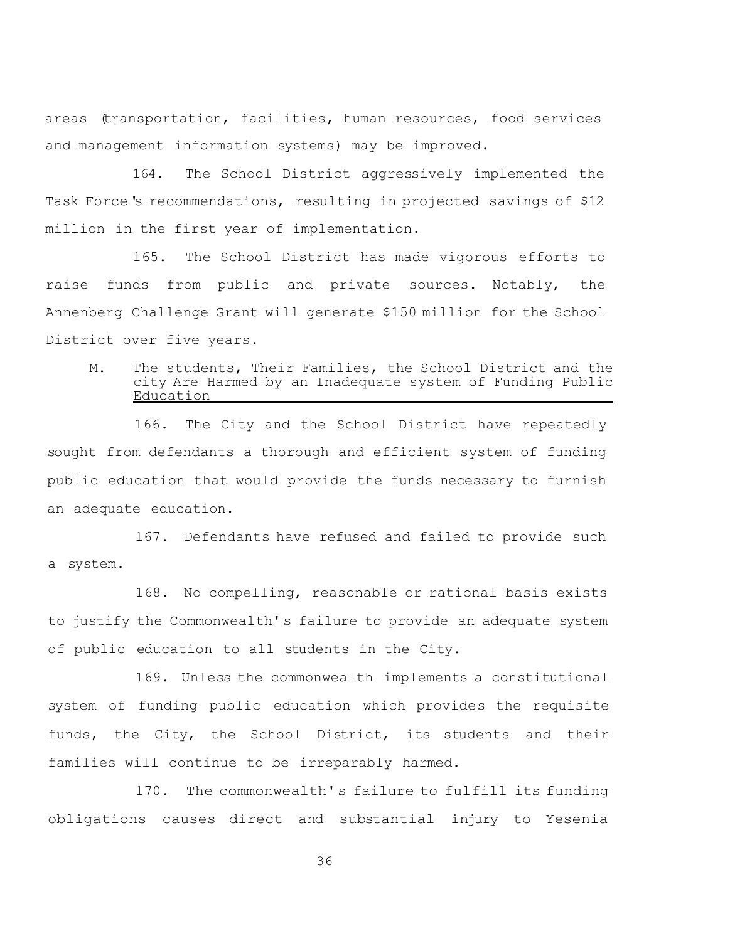areas (transportation, facilities, human resources, food services and management information systems) may be improved.

164. The School District aggressively implemented the Task Force's recommendations, resulting in projected savings of \$12 million in the first year of implementation.

165. The School District has made vigorous efforts to raise funds from public and private sources. Notably, the Annenberg Challenge Grant will generate \$150 million for the School District over five years.

M. The students, Their Families, the School District and the city Are Harmed by an Inadequate system of Funding Public **Education** 

166. The City and the School District have repeatedly sought from defendants a thorough and efficient system of funding public education that would provide the funds necessary to furnish an adequate education.

167. Defendants have refused and failed to provide such a system.

168. No compelling, reasonable or rational basis exists to justify the Commonwealth's failure to provide an adequate system of public education to all students in the City.

169. Unless the commonwealth implements a constitutional system of funding public education which provides the requisite funds, the City, the School District, its students and their families will continue to be irreparably harmed.

170. The commonwealth's failure to fulfill its funding obligations causes direct and substantial injury to Yesenia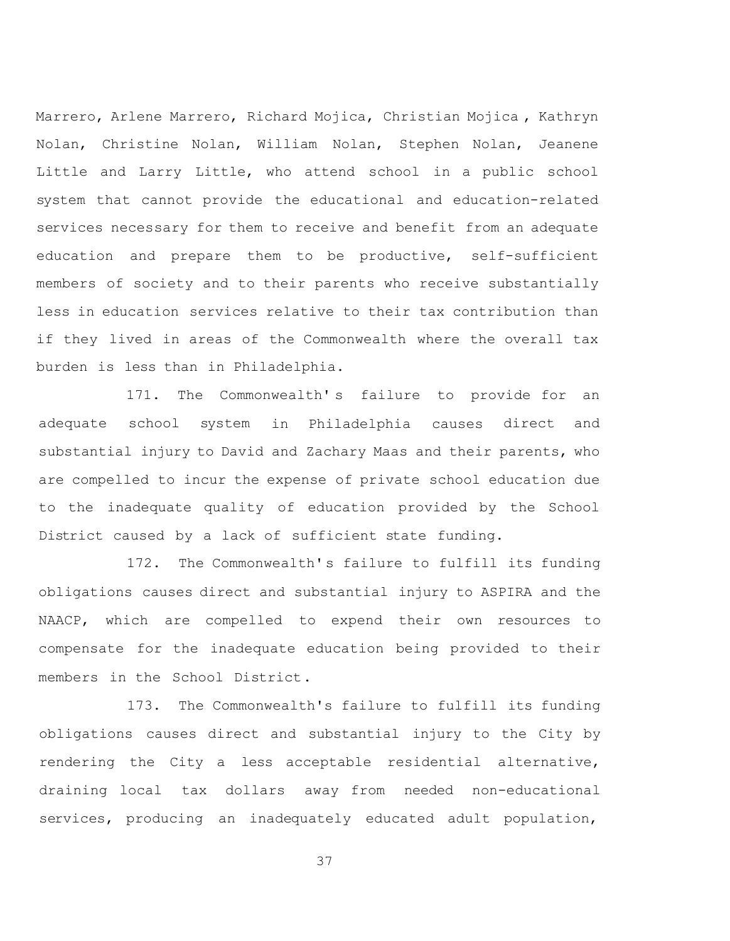Marrero, Arlene Marrero, Richard Mojica, Christian Mojica , Kathryn Nolan, Christine Nolan, William Nolan, Stephen Nolan, Jeanene Little and Larry Little, who attend school in a public school system that cannot provide the educational and education-related services necessary for them to receive and benefit from an adequate education and prepare them to be productive, self-sufficient members of society and to their parents who receive substantially less in education services relative to their tax contribution than if they lived in areas of the Commonwealth where the overall tax burden is less than in Philadelphia.

171. The Commonwealth's failure to provide for an adequate school system in Philadelphia causes direct and substantial injury to David and Zachary Maas and their parents, who are compelled to incur the expense of private school education due to the inadequate quality of education provided by the School District caused by a lack of sufficient state funding.

172. The Commonwealth's failure to fulfill its funding obligations causes direct and substantial injury to ASPIRA and the NAACP, which are compelled to expend their own resources to compensate for the inadequate education being provided to their members in the School District.

173. The Commonwealth's failure to fulfill its funding obligations causes direct and substantial injury to the City by rendering the City a less acceptable residential alternative, draining local tax dollars away from needed non-educational services, producing an inadequately educated adult population,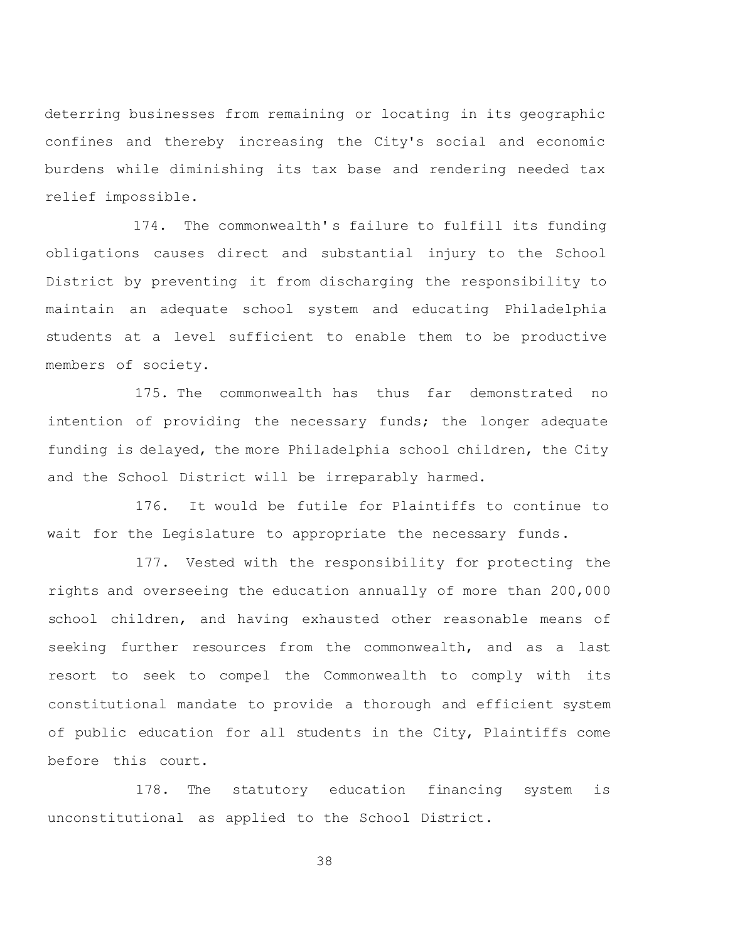deterring businesses from remaining or locating in its geographic confines and thereby increasing the City's social and economic burdens while diminishing its tax base and rendering needed tax relief impossible.

174. The commonwealth' s failure to fulfill its funding obligations causes direct and substantial injury to the School District by preventing it from discharging the responsibility to maintain an adequate school system and educating Philadelphia students at a level sufficient to enable them to be productive members of society.

175. The commonwealth has thus far demonstrated no intention of providing the necessary funds; the longer adequate funding is delayed, the more Philadelphia school children, the City and the School District will be irreparably harmed.

176. It would be futile for Plaintiffs to continue to wait for the Legislature to appropriate the necessary funds.

177. Vested with the responsibility for protecting the rights and overseeing the education annually of more than 200,000 school children, and having exhausted other reasonable means of seeking further resources from the commonwealth, and as a last resort to seek to compel the Commonwealth to comply with its constitutional mandate to provide a thorough and efficient system of public education for all students in the City, Plaintiffs come before this court.

178. The statutory education financing system is unconstitutional as applied to the School District.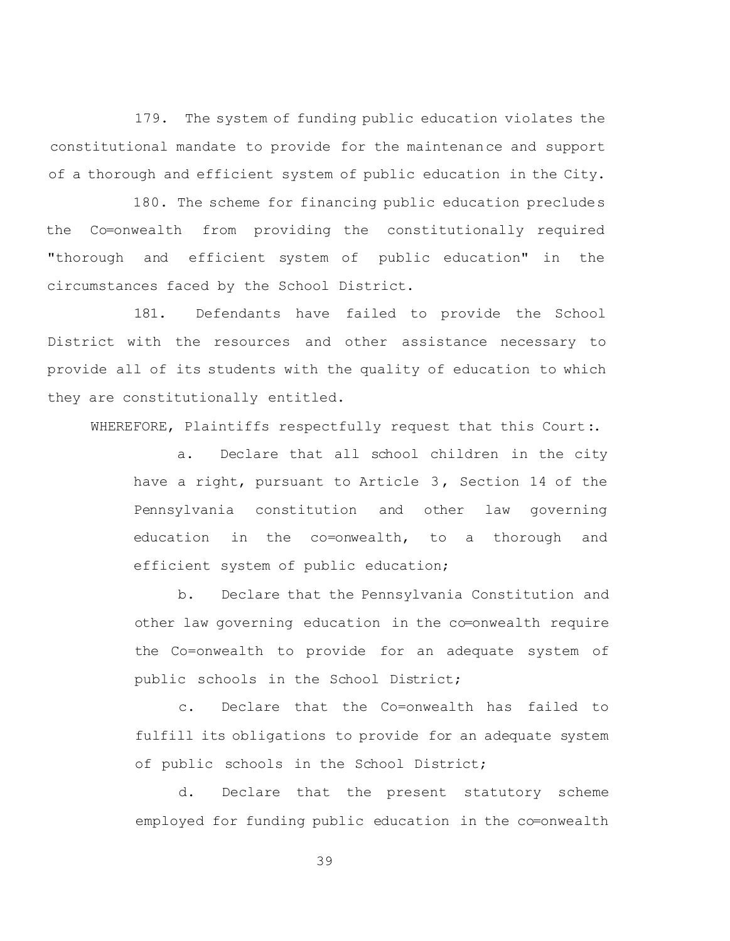179. The system of funding public education violates the constitutional mandate to provide for the maintenance and support of a thorough and efficient system of public education in the City.

180. The scheme for financing public education precludes the Co=onwealth from providing the constitutionally required "thorough and efficient system of public education" in the circumstances faced by the School District.

181. Defendants have failed to provide the School District with the resources and other assistance necessary to provide all of its students with the quality of education to which they are constitutionally entitled.

WHEREFORE, Plaintiffs respectfully request that this Court:.

a. Declare that all school children in the city have a right, pursuant to Article 3, Section 14 of the Pennsylvania constitution and other law governing education in the co=onwealth, to a thorough and efficient system of public education;

b. Declare that the Pennsylvania Constitution and other law governing education in the co=onwealth require the Co=onwealth to provide for an adequate system of public schools in the School District;

c. Declare that the Co=onwealth has failed to fulfill its obligations to provide for an adequate system of public schools in the School District;

d. Declare that the present statutory scheme employed for funding public education in the co=onwealth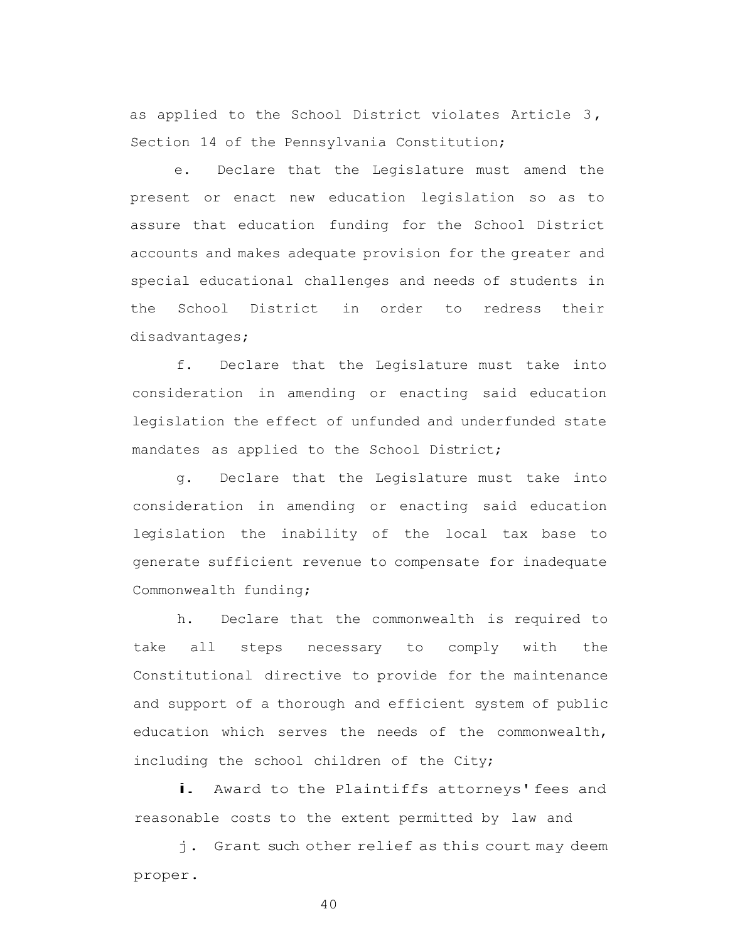as applied to the School District violates Article 3, Section 14 of the Pennsylvania Constitution;

e. Declare that the Legislature must amend the present or enact new education legislation so as to assure that education funding for the School District accounts and makes adequate provision for the greater and special educational challenges and needs of students in the School District in order to redress their disadvantages;

f. Declare that the Legislature must take into consideration in amending or enacting said education legislation the effect of unfunded and underfunded state mandates as applied to the School District;

g. Declare that the Legislature must take into consideration in amending or enacting said education legislation the inability of the local tax base to generate sufficient revenue to compensate for inadequate Commonwealth funding;

h. Declare that the commonwealth is required to take all steps necessary to comply with the Constitutional directive to provide for the maintenance and support of a thorough and efficient system of public education which serves the needs of the commonwealth, including the school children of the City;

i. Award to the Plaintiffs attorneys' fees and reasonable costs to the extent permitted by law and

j. Grant such other relief as this court may deem proper.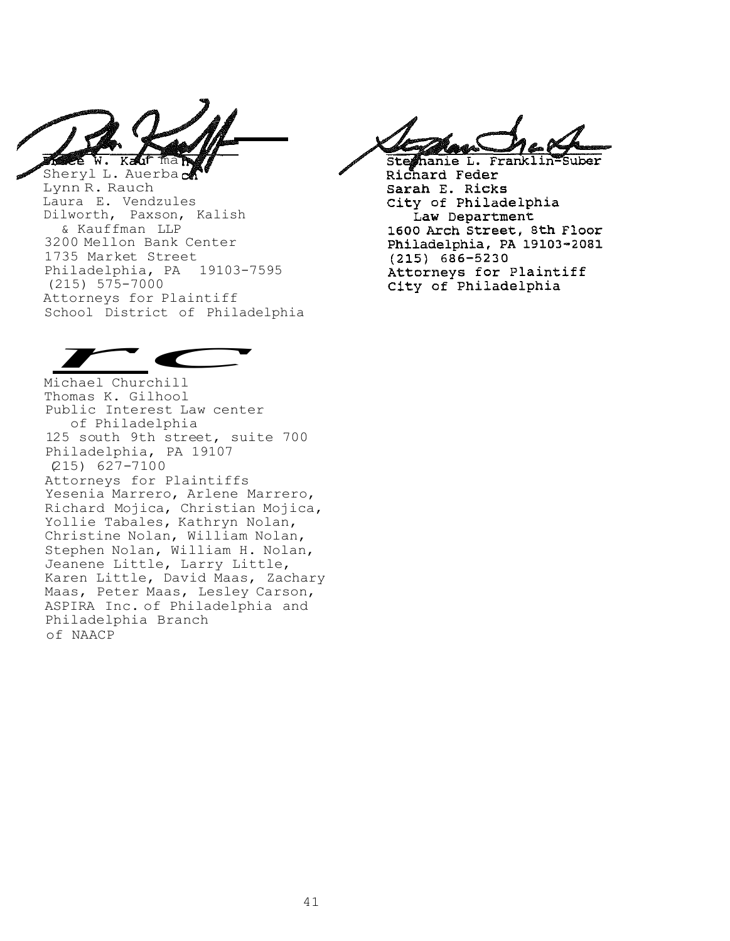f ma Ka 晊

Sheryl L. Auerbad Lynn R. Rauch Laura E. Vendzules Dilworth, Paxson, Kalish & Kauffman LLP 3200 Mellon Bank Center 1735 Market Street Philadelphia, PA 19103-7595 (215) 575-7000 Attorneys for Plaintiff School District of Philadelphia *r*<br>
aura E. Ve<br>
ilworth, P<br>
& Kauffma<br>
200 Mellon<br>
735 Market<br>
hiladelphi<br>
215) 575-7<br>
ttorneys for<br>
chool Dist:<br>
chool Dist:<br>
chool Dist:<br>
chool Dist:<br>
chool Dist:<br>
chool Rist<br>
chomas K. G<br>
ublic Internation Finacon<br>
dzules<br>
xson, Kalish<br>
LLP<br>
Bank Center<br>
Street<br>
, PA 19103-7<br>
00<br>
r Plaintiff<br>
ict of Philad<br>
Lehill<br>
lhool<br>
est Law cente

Steshanie L. Frank Richard Feder Sarah E. Ricks City of Philadelphia Law Department 1600 Arch Street, 8th Floor Philadelphia, PA 19103-2081  $(215) 686 - 5230$ Attorneys for Plaintiff City of Philadelphia



Michael Churchill Thomas K. Gilhool Public Interest Law center of Philadelphia 125 south 9th street, suite 700 Philadelphia, PA 19107 (215) 627-7100 Attorneys for Plaintiffs Yesenia Marrero, Arlene Marrero, Richard Mojica, Christian Mojica, Yollie Tabales, Kathryn Nolan, Christine Nolan, William Nolan, Stephen Nolan, William H. Nolan, Jeanene Little, Larry Little, Karen Little, David Maas, Zachary Maas, Peter Maas, Lesley Carson, ASPIRA Inc. of Philadelphia and Philadelphia Branch of NAACP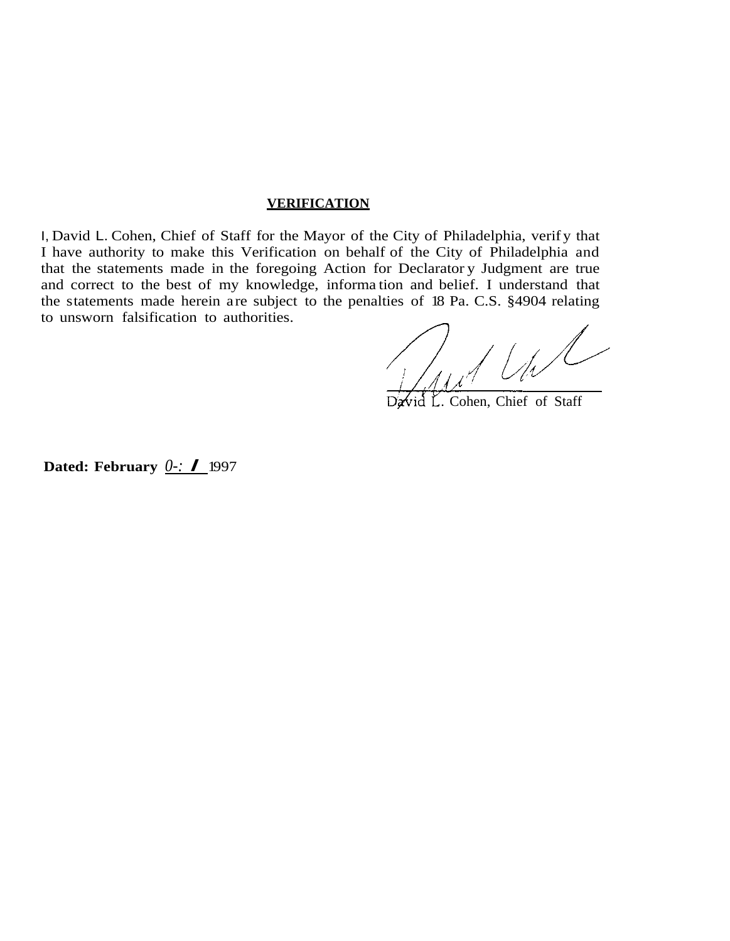# **VERIFICATION**

I, David L. Cohen, Chief of Staff for the Mayor of the City of Philadelphia, verif y that I have authority to make this Verification on behalf of the City of Philadelphia and that the statements made in the foregoing Action for Declarator y Judgment are true and correct to the best of my knowledge, informa tion and belief. I understand that the statements made herein are subject to the penalties of 18 Pa. C.S. §4904 relating to unsworn falsification to authorities.

Jul Und

David L. Cohen, Chief of Staff

**Dated: February** *0-: I* <sup>1997</sup>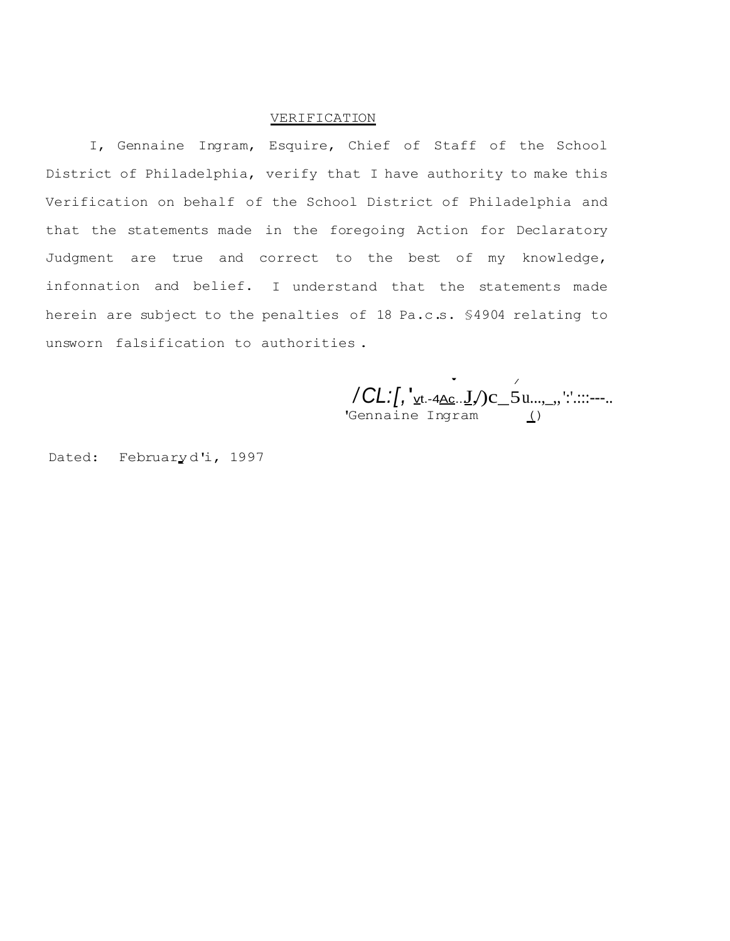### VERIFICATION

I, Gennaine Ingram, Esquire, Chief of Staff of the School District of Philadelphia, verify that I have authority to make this Verification on behalf of the School District of Philadelphia and that the statements made in the foregoing Action for Declaratory Judgment are true and correct to the best of my knowledge, infonnation and belief. I understand that the statements made herein are subject to the penalties of 18 Pa.c.s. §4904 relating to unsworn falsification to authorities .

 $\bullet$  / */ CL:[,* ' $v_{t.4AC}$ ... $\underline{J}$ /)c\_5u...,\_,,':'.:::---.. 'Gennaine Ingram ()

Dated: Februaryd'i, 1997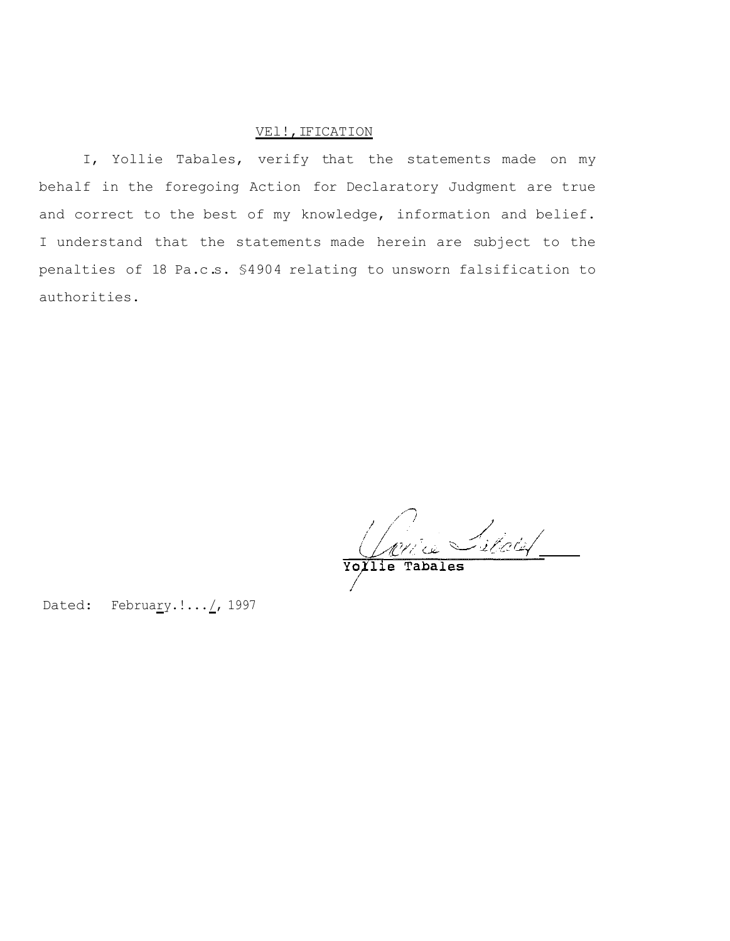# VEl!, IFICATION

I, Yollie Tabales, verify that the statements made on my behalf in the foregoing Action for Declaratory Judgment are true and correct to the best of my knowledge, information and belief. I understand that the statements made herein are subject to the penalties of 18 Pa.c.s. §4904 relating to unsworn falsification to authorities.

Varie Silales

Dated: February.!... /, 1997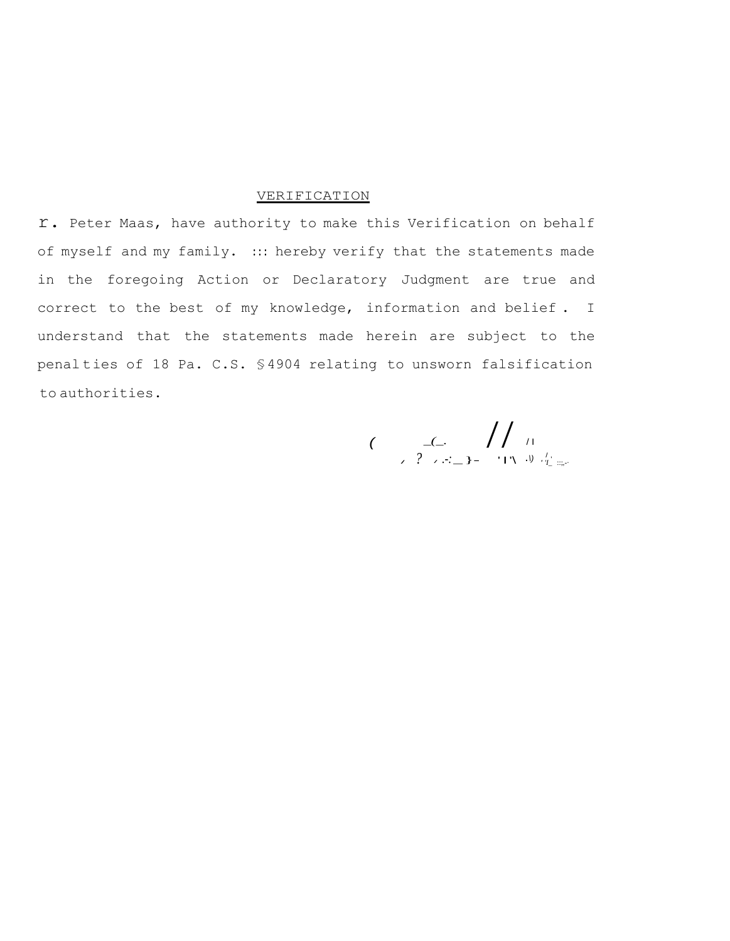### **VERIFICATION**

r. Peter Maas, have authority to make this Verification on behalf of myself and my family. ::: hereby verify that the statements made in the foregoing Action or Declaratory Judgment are true and correct to the best of my knowledge, information and belief . I understand that the statements made herein are subject to the penal ties of 18 Pa. C.S. §4904 relating to unsworn falsification to authorities.

 $($   $\frac{1}{2}$   $($   $\frac{1}{2}$   $\frac{1}{2}$   $\frac{1}{2}$   $\frac{1}{2}$   $\frac{1}{2}$   $\frac{1}{2}$   $\frac{1}{2}$   $\frac{1}{2}$   $\frac{1}{2}$   $\frac{1}{2}$   $\frac{1}{2}$   $\frac{1}{2}$   $\frac{1}{2}$   $\frac{1}{2}$   $\frac{1}{2}$   $\frac{1}{2}$   $\frac{1}{2}$   $\frac{1}{2}$   $\frac{1}{2}$   $\frac{1}{2}$   $\frac$ / *?* / *.-:*\_}- ' I'\ .*\)* / , *' 'I\_* ::;,-·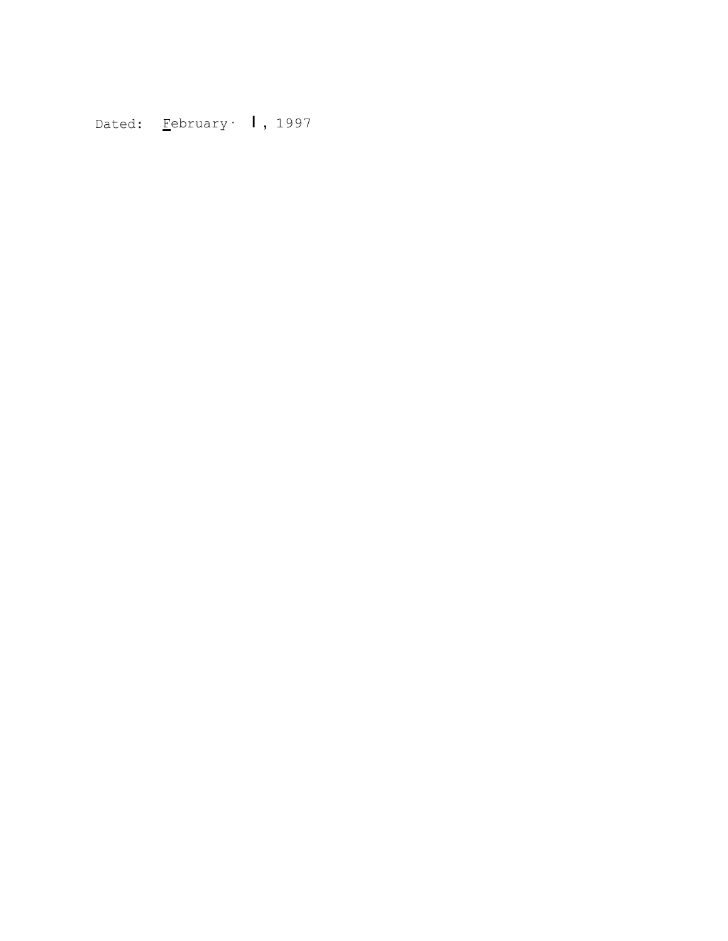Dated: Eebruary 1, 1997